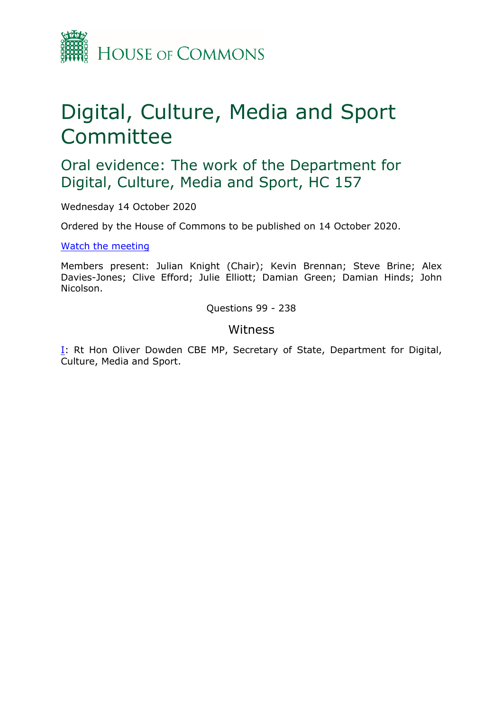

# Digital, Culture, Media and Sport **Committee**

Oral evidence: The work of the Department for Digital, Culture, Media and Sport, HC 157

Wednesday 14 October 2020

Ordered by the House of Commons to be published on 14 October 2020.

[Watch](https://parliamentlive.tv/event/index/e0c11fd2-c610-4dfc-be42-24709bb089a6) [the](https://parliamentlive.tv/event/index/e0c11fd2-c610-4dfc-be42-24709bb089a6) [meeting](https://parliamentlive.tv/event/index/e0c11fd2-c610-4dfc-be42-24709bb089a6)

Members present: Julian Knight (Chair); Kevin Brennan; Steve Brine; Alex Davies-Jones; Clive Efford; Julie Elliott; Damian Green; Damian Hinds; John Nicolson.

Questions 99 - 238

# Witness

[I:](#page-1-0) Rt Hon Oliver Dowden CBE MP, Secretary of State, Department for Digital, Culture, Media and Sport.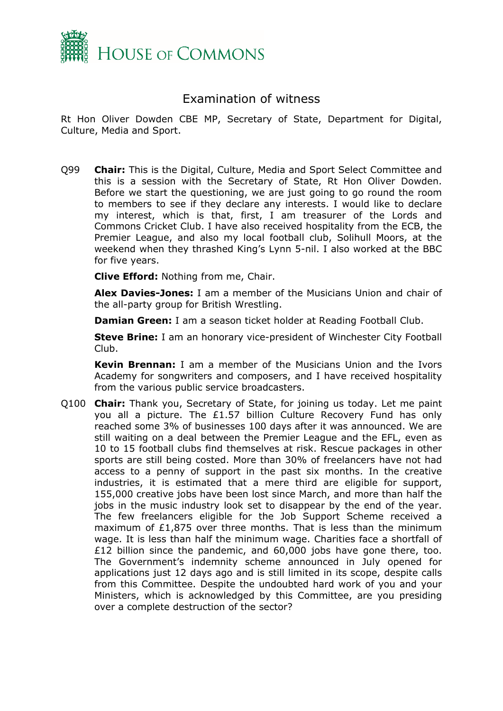

# <span id="page-1-0"></span>Examination of witness

Rt Hon Oliver Dowden CBE MP, Secretary of State, Department for Digital, Culture, Media and Sport.

Q99 **Chair:** This is the Digital, Culture, Media and Sport Select Committee and this is a session with the Secretary of State, Rt Hon Oliver Dowden. Before we start the questioning, we are just going to go round the room to members to see if they declare any interests. I would like to declare my interest, which is that, first, I am treasurer of the Lords and Commons Cricket Club. I have also received hospitality from the ECB, the Premier League, and also my local football club, Solihull Moors, at the weekend when they thrashed King's Lynn 5-nil. I also worked at the BBC for five years.

**Clive Efford:** Nothing from me, Chair.

**Alex Davies-Jones:** I am a member of the Musicians Union and chair of the all-party group for British Wrestling.

**Damian Green:** I am a season ticket holder at Reading Football Club.

**Steve Brine:** I am an honorary vice-president of Winchester City Football Club.

**Kevin Brennan:** I am a member of the Musicians Union and the Ivors Academy for songwriters and composers, and I have received hospitality from the various public service broadcasters.

Q100 **Chair:** Thank you, Secretary of State, for joining us today. Let me paint you all a picture. The £1.57 billion Culture Recovery Fund has only reached some 3% of businesses 100 days after it was announced. We are still waiting on a deal between the Premier League and the EFL, even as 10 to 15 football clubs find themselves at risk. Rescue packages in other sports are still being costed. More than 30% of freelancers have not had access to a penny of support in the past six months. In the creative industries, it is estimated that a mere third are eligible for support, 155,000 creative jobs have been lost since March, and more than half the jobs in the music industry look set to disappear by the end of the year. The few freelancers eligible for the Job Support Scheme received a maximum of  $£1,875$  over three months. That is less than the minimum wage. It is less than half the minimum wage. Charities face a shortfall of £12 billion since the pandemic, and 60,000 jobs have gone there, too. The Government's indemnity scheme announced in July opened for applications just 12 days ago and is still limited in its scope, despite calls from this Committee. Despite the undoubted hard work of you and your Ministers, which is acknowledged by this Committee, are you presiding over a complete destruction of the sector?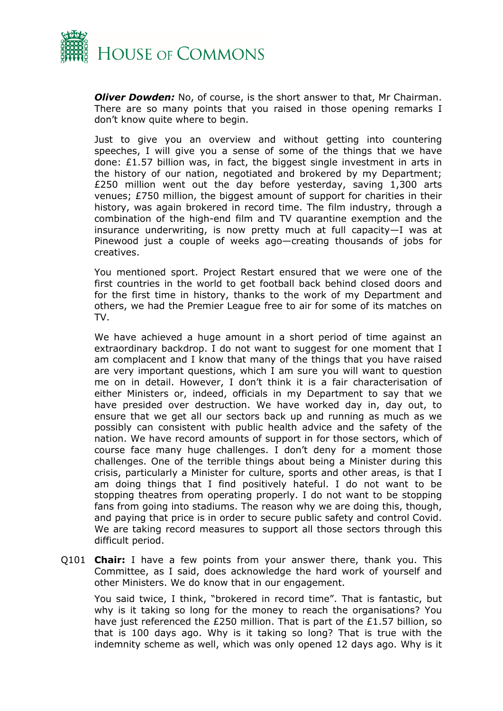

*Oliver Dowden:* No, of course, is the short answer to that, Mr Chairman. There are so many points that you raised in those opening remarks I don't know quite where to begin.

Just to give you an overview and without getting into countering speeches, I will give you a sense of some of the things that we have done: £1.57 billion was, in fact, the biggest single investment in arts in the history of our nation, negotiated and brokered by my Department; £250 million went out the day before yesterday, saving 1,300 arts venues; £750 million, the biggest amount of support for charities in their history, was again brokered in record time. The film industry, through a combination of the high-end film and TV quarantine exemption and the insurance underwriting, is now pretty much at full capacity—I was at Pinewood just a couple of weeks ago—creating thousands of jobs for creatives.

You mentioned sport. Project Restart ensured that we were one of the first countries in the world to get football back behind closed doors and for the first time in history, thanks to the work of my Department and others, we had the Premier League free to air for some of its matches on TV.

We have achieved a huge amount in a short period of time against an extraordinary backdrop. I do not want to suggest for one moment that I am complacent and I know that many of the things that you have raised are very important questions, which I am sure you will want to question me on in detail. However, I don't think it is a fair characterisation of either Ministers or, indeed, officials in my Department to say that we have presided over destruction. We have worked day in, day out, to ensure that we get all our sectors back up and running as much as we possibly can consistent with public health advice and the safety of the nation. We have record amounts of support in for those sectors, which of course face many huge challenges. I don't deny for a moment those challenges. One of the terrible things about being a Minister during this crisis, particularly a Minister for culture, sports and other areas, is that I am doing things that I find positively hateful. I do not want to be stopping theatres from operating properly. I do not want to be stopping fans from going into stadiums. The reason why we are doing this, though, and paying that price is in order to secure public safety and control Covid. We are taking record measures to support all those sectors through this difficult period.

Q101 **Chair:** I have a few points from your answer there, thank you. This Committee, as I said, does acknowledge the hard work of yourself and other Ministers. We do know that in our engagement.

You said twice, I think, "brokered in record time". That is fantastic, but why is it taking so long for the money to reach the organisations? You have just referenced the £250 million. That is part of the £1.57 billion, so that is 100 days ago. Why is it taking so long? That is true with the indemnity scheme as well, which was only opened 12 days ago. Why is it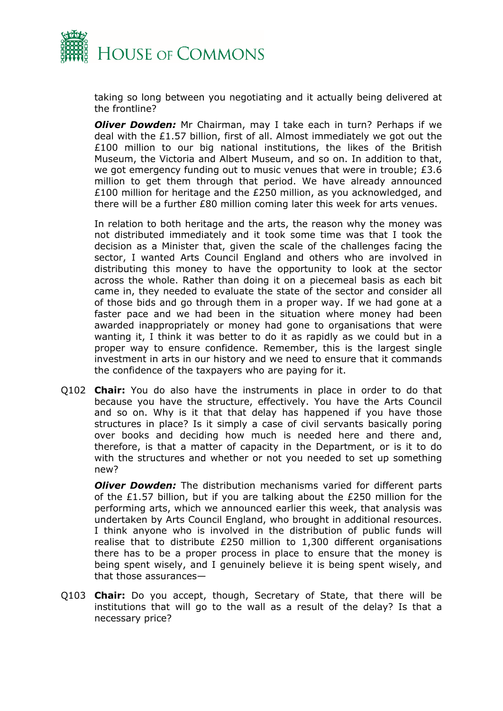

taking so long between you negotiating and it actually being delivered at the frontline?

*Oliver Dowden:* Mr Chairman, may I take each in turn? Perhaps if we deal with the £1.57 billion, first of all. Almost immediately we got out the £100 million to our big national institutions, the likes of the British Museum, the Victoria and Albert Museum, and so on. In addition to that, we got emergency funding out to music venues that were in trouble; £3.6 million to get them through that period. We have already announced £100 million for heritage and the £250 million, as you acknowledged, and there will be a further £80 million coming later this week for arts venues.

In relation to both heritage and the arts, the reason why the money was not distributed immediately and it took some time was that I took the decision as a Minister that, given the scale of the challenges facing the sector, I wanted Arts Council England and others who are involved in distributing this money to have the opportunity to look at the sector across the whole. Rather than doing it on a piecemeal basis as each bit came in, they needed to evaluate the state of the sector and consider all of those bids and go through them in a proper way. If we had gone at a faster pace and we had been in the situation where money had been awarded inappropriately or money had gone to organisations that were wanting it, I think it was better to do it as rapidly as we could but in a proper way to ensure confidence. Remember, this is the largest single investment in arts in our history and we need to ensure that it commands the confidence of the taxpayers who are paying for it.

Q102 **Chair:** You do also have the instruments in place in order to do that because you have the structure, effectively. You have the Arts Council and so on. Why is it that that delay has happened if you have those structures in place? Is it simply a case of civil servants basically poring over books and deciding how much is needed here and there and, therefore, is that a matter of capacity in the Department, or is it to do with the structures and whether or not you needed to set up something new?

*Oliver Dowden:* The distribution mechanisms varied for different parts of the £1.57 billion, but if you are talking about the £250 million for the performing arts, which we announced earlier this week, that analysis was undertaken by Arts Council England, who brought in additional resources. I think anyone who is involved in the distribution of public funds will realise that to distribute £250 million to 1,300 different organisations there has to be a proper process in place to ensure that the money is being spent wisely, and I genuinely believe it is being spent wisely, and that those assurances—

Q103 **Chair:** Do you accept, though, Secretary of State, that there will be institutions that will go to the wall as a result of the delay? Is that a necessary price?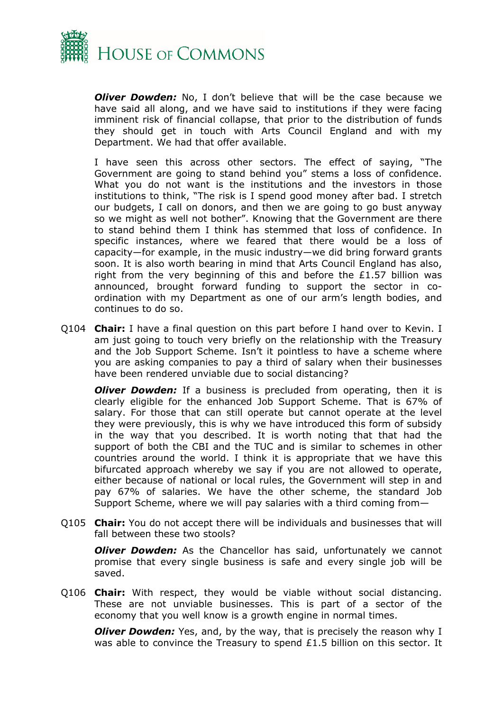

*Oliver Dowden:* No, I don't believe that will be the case because we have said all along, and we have said to institutions if they were facing imminent risk of financial collapse, that prior to the distribution of funds they should get in touch with Arts Council England and with my Department. We had that offer available.

I have seen this across other sectors. The effect of saying, "The Government are going to stand behind you" stems a loss of confidence. What you do not want is the institutions and the investors in those institutions to think, "The risk is I spend good money after bad. I stretch our budgets, I call on donors, and then we are going to go bust anyway so we might as well not bother". Knowing that the Government are there to stand behind them I think has stemmed that loss of confidence. In specific instances, where we feared that there would be a loss of capacity—for example, in the music industry—we did bring forward grants soon. It is also worth bearing in mind that Arts Council England has also, right from the very beginning of this and before the £1.57 billion was announced, brought forward funding to support the sector in coordination with my Department as one of our arm's length bodies, and continues to do so.

Q104 **Chair:** I have a final question on this part before I hand over to Kevin. I am just going to touch very briefly on the relationship with the Treasury and the Job Support Scheme. Isn't it pointless to have a scheme where you are asking companies to pay a third of salary when their businesses have been rendered unviable due to social distancing?

*Oliver Dowden:* If a business is precluded from operating, then it is clearly eligible for the enhanced Job Support Scheme. That is 67% of salary. For those that can still operate but cannot operate at the level they were previously, this is why we have introduced this form of subsidy in the way that you described. It is worth noting that that had the support of both the CBI and the TUC and is similar to schemes in other countries around the world. I think it is appropriate that we have this bifurcated approach whereby we say if you are not allowed to operate, either because of national or local rules, the Government will step in and pay 67% of salaries. We have the other scheme, the standard Job Support Scheme, where we will pay salaries with a third coming from—

Q105 **Chair:** You do not accept there will be individuals and businesses that will fall between these two stools?

*Oliver Dowden:* As the Chancellor has said, unfortunately we cannot promise that every single business is safe and every single job will be saved.

Q106 **Chair:** With respect, they would be viable without social distancing. These are not unviable businesses. This is part of a sector of the economy that you well know is a growth engine in normal times.

*Oliver Dowden:* Yes, and, by the way, that is precisely the reason why I was able to convince the Treasury to spend £1.5 billion on this sector. It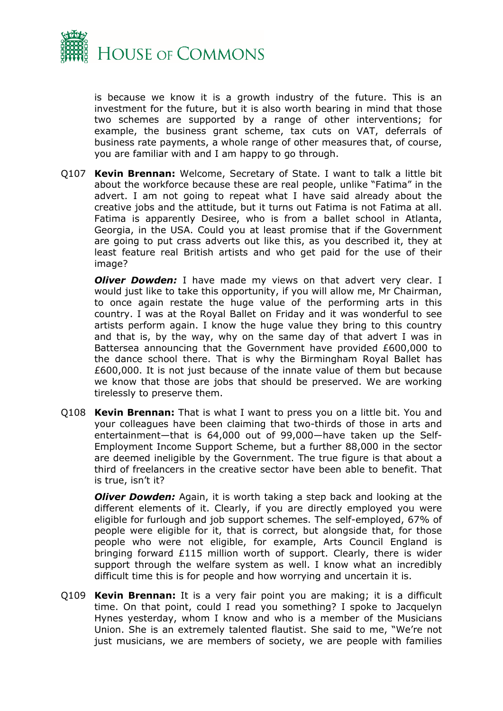

is because we know it is a growth industry of the future. This is an investment for the future, but it is also worth bearing in mind that those two schemes are supported by a range of other interventions; for example, the business grant scheme, tax cuts on VAT, deferrals of business rate payments, a whole range of other measures that, of course, you are familiar with and I am happy to go through.

Q107 **Kevin Brennan:** Welcome, Secretary of State. I want to talk a little bit about the workforce because these are real people, unlike "Fatima" in the advert. I am not going to repeat what I have said already about the creative jobs and the attitude, but it turns out Fatima is not Fatima at all. Fatima is apparently Desiree, who is from a ballet school in Atlanta, Georgia, in the USA. Could you at least promise that if the Government are going to put crass adverts out like this, as you described it, they at least feature real British artists and who get paid for the use of their image?

*Oliver Dowden:* I have made my views on that advert very clear. I would just like to take this opportunity, if you will allow me, Mr Chairman, to once again restate the huge value of the performing arts in this country. I was at the Royal Ballet on Friday and it was wonderful to see artists perform again. I know the huge value they bring to this country and that is, by the way, why on the same day of that advert I was in Battersea announcing that the Government have provided £600,000 to the dance school there. That is why the Birmingham Royal Ballet has £600,000. It is not just because of the innate value of them but because we know that those are jobs that should be preserved. We are working tirelessly to preserve them.

Q108 **Kevin Brennan:** That is what I want to press you on a little bit. You and your colleagues have been claiming that two-thirds of those in arts and entertainment—that is 64,000 out of 99,000—have taken up the Self-Employment Income Support Scheme, but a further 88,000 in the sector are deemed ineligible by the Government. The true figure is that about a third of freelancers in the creative sector have been able to benefit. That is true, isn't it?

*Oliver Dowden:* Again, it is worth taking a step back and looking at the different elements of it. Clearly, if you are directly employed you were eligible for furlough and job support schemes. The self-employed, 67% of people were eligible for it, that is correct, but alongside that, for those people who were not eligible, for example, Arts Council England is bringing forward £115 million worth of support. Clearly, there is wider support through the welfare system as well. I know what an incredibly difficult time this is for people and how worrying and uncertain it is.

Q109 **Kevin Brennan:** It is a very fair point you are making; it is a difficult time. On that point, could I read you something? I spoke to Jacquelyn Hynes yesterday, whom I know and who is a member of the Musicians Union. She is an extremely talented flautist. She said to me, "We're not just musicians, we are members of society, we are people with families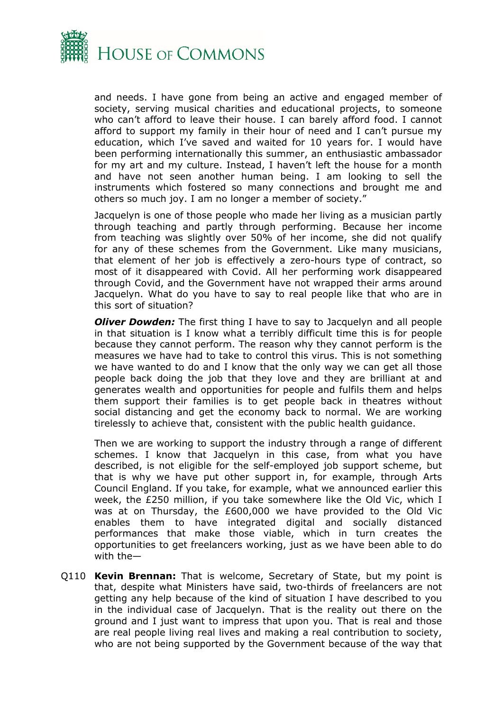

and needs. I have gone from being an active and engaged member of society, serving musical charities and educational projects, to someone who can't afford to leave their house. I can barely afford food. I cannot afford to support my family in their hour of need and I can't pursue my education, which I've saved and waited for 10 years for. I would have been performing internationally this summer, an enthusiastic ambassador for my art and my culture. Instead, I haven't left the house for a month and have not seen another human being. I am looking to sell the instruments which fostered so many connections and brought me and others so much joy. I am no longer a member of society."

Jacquelyn is one of those people who made her living as a musician partly through teaching and partly through performing. Because her income from teaching was slightly over 50% of her income, she did not qualify for any of these schemes from the Government. Like many musicians, that element of her job is effectively a zero-hours type of contract, so most of it disappeared with Covid. All her performing work disappeared through Covid, and the Government have not wrapped their arms around Jacquelyn. What do you have to say to real people like that who are in this sort of situation?

*Oliver Dowden:* The first thing I have to say to Jacquelyn and all people in that situation is I know what a terribly difficult time this is for people because they cannot perform. The reason why they cannot perform is the measures we have had to take to control this virus. This is not something we have wanted to do and I know that the only way we can get all those people back doing the job that they love and they are brilliant at and generates wealth and opportunities for people and fulfils them and helps them support their families is to get people back in theatres without social distancing and get the economy back to normal. We are working tirelessly to achieve that, consistent with the public health guidance.

Then we are working to support the industry through a range of different schemes. I know that Jacquelyn in this case, from what you have described, is not eligible for the self-employed job support scheme, but that is why we have put other support in, for example, through Arts Council England. If you take, for example, what we announced earlier this week, the £250 million, if you take somewhere like the Old Vic, which I was at on Thursday, the £600,000 we have provided to the Old Vic enables them to have integrated digital and socially distanced performances that make those viable, which in turn creates the opportunities to get freelancers working, just as we have been able to do with the—

Q110 **Kevin Brennan:** That is welcome, Secretary of State, but my point is that, despite what Ministers have said, two-thirds of freelancers are not getting any help because of the kind of situation I have described to you in the individual case of Jacquelyn. That is the reality out there on the ground and I just want to impress that upon you. That is real and those are real people living real lives and making a real contribution to society, who are not being supported by the Government because of the way that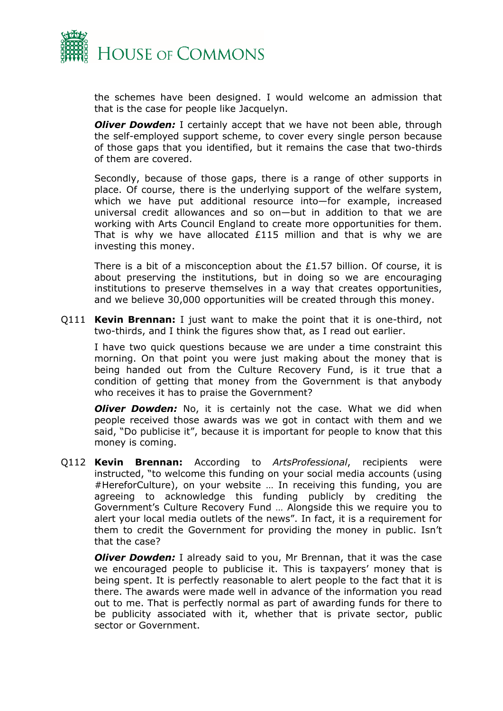

the schemes have been designed. I would welcome an admission that that is the case for people like Jacquelyn.

*Oliver Dowden:* I certainly accept that we have not been able, through the self-employed support scheme, to cover every single person because of those gaps that you identified, but it remains the case that two-thirds of them are covered.

Secondly, because of those gaps, there is a range of other supports in place. Of course, there is the underlying support of the welfare system, which we have put additional resource into—for example, increased universal credit allowances and so on—but in addition to that we are working with Arts Council England to create more opportunities for them. That is why we have allocated  $£115$  million and that is why we are investing this money.

There is a bit of a misconception about the £1.57 billion. Of course, it is about preserving the institutions, but in doing so we are encouraging institutions to preserve themselves in a way that creates opportunities, and we believe 30,000 opportunities will be created through this money.

Q111 **Kevin Brennan:** I just want to make the point that it is one-third, not two-thirds, and I think the figures show that, as I read out earlier.

I have two quick questions because we are under a time constraint this morning. On that point you were just making about the money that is being handed out from the Culture Recovery Fund, is it true that a condition of getting that money from the Government is that anybody who receives it has to praise the Government?

*Oliver Dowden:* No, it is certainly not the case. What we did when people received those awards was we got in contact with them and we said, "Do publicise it", because it is important for people to know that this money is coming.

Q112 **Kevin Brennan:** According to *ArtsProfessional*, recipients were instructed, "to welcome this funding on your social media accounts (using #HereforCulture), on your website … In receiving this funding, you are agreeing to acknowledge this funding publicly by crediting the Government's Culture Recovery Fund … Alongside this we require you to alert your local media outlets of the news". In fact, it is a requirement for them to credit the Government for providing the money in public. Isn't that the case?

*Oliver Dowden:* I already said to you, Mr Brennan, that it was the case we encouraged people to publicise it. This is taxpayers' money that is being spent. It is perfectly reasonable to alert people to the fact that it is there. The awards were made well in advance of the information you read out to me. That is perfectly normal as part of awarding funds for there to be publicity associated with it, whether that is private sector, public sector or Government.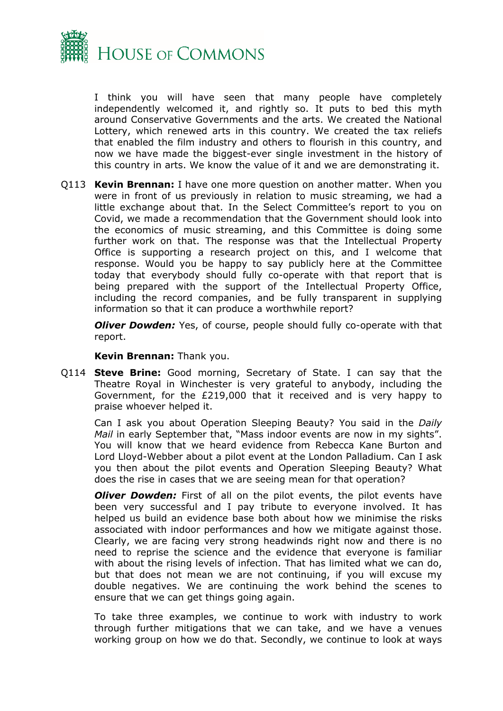

I think you will have seen that many people have completely independently welcomed it, and rightly so. It puts to bed this myth around Conservative Governments and the arts. We created the National Lottery, which renewed arts in this country. We created the tax reliefs that enabled the film industry and others to flourish in this country, and now we have made the biggest-ever single investment in the history of this country in arts. We know the value of it and we are demonstrating it.

Q113 **Kevin Brennan:** I have one more question on another matter. When you were in front of us previously in relation to music streaming, we had a little exchange about that. In the Select Committee's report to you on Covid, we made a recommendation that the Government should look into the economics of music streaming, and this Committee is doing some further work on that. The response was that the Intellectual Property Office is supporting a research project on this, and I welcome that response. Would you be happy to say publicly here at the Committee today that everybody should fully co-operate with that report that is being prepared with the support of the Intellectual Property Office, including the record companies, and be fully transparent in supplying information so that it can produce a worthwhile report?

*Oliver Dowden:* Yes, of course, people should fully co-operate with that report.

#### **Kevin Brennan:** Thank you.

Q114 **Steve Brine:** Good morning, Secretary of State. I can say that the Theatre Royal in Winchester is very grateful to anybody, including the Government, for the £219,000 that it received and is very happy to praise whoever helped it.

Can I ask you about Operation Sleeping Beauty? You said in the *Daily Mail* in early September that, "Mass indoor events are now in my sights". You will know that we heard evidence from Rebecca Kane Burton and Lord Lloyd-Webber about a pilot event at the London Palladium. Can I ask you then about the pilot events and Operation Sleeping Beauty? What does the rise in cases that we are seeing mean for that operation?

*Oliver Dowden:* First of all on the pilot events, the pilot events have been very successful and I pay tribute to everyone involved. It has helped us build an evidence base both about how we minimise the risks associated with indoor performances and how we mitigate against those. Clearly, we are facing very strong headwinds right now and there is no need to reprise the science and the evidence that everyone is familiar with about the rising levels of infection. That has limited what we can do, but that does not mean we are not continuing, if you will excuse my double negatives. We are continuing the work behind the scenes to ensure that we can get things going again.

To take three examples, we continue to work with industry to work through further mitigations that we can take, and we have a venues working group on how we do that. Secondly, we continue to look at ways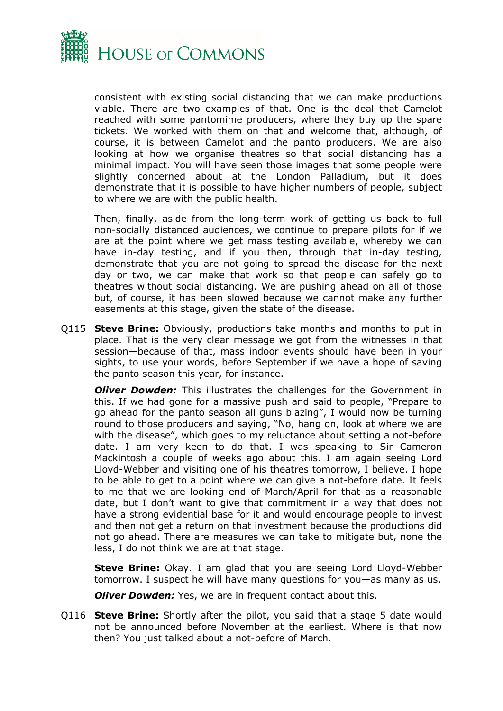

consistent with existing social distancing that we can make productions viable. There are two examples of that. One is the deal that Camelot reached with some pantomime producers, where they buy up the spare tickets. We worked with them on that and welcome that, although, of course, it is between Camelot and the panto producers. We are also looking at how we organise theatres so that social distancing has a minimal impact. You will have seen those images that some people were slightly concerned about at the London Palladium, but it does demonstrate that it is possible to have higher numbers of people, subject to where we are with the public health.

Then, finally, aside from the long-term work of getting us back to full non-socially distanced audiences, we continue to prepare pilots for if we are at the point where we get mass testing available, whereby we can have in-day testing, and if you then, through that in-day testing, demonstrate that you are not going to spread the disease for the next day or two, we can make that work so that people can safely go to theatres without social distancing. We are pushing ahead on all of those but, of course, it has been slowed because we cannot make any further easements at this stage, given the state of the disease.

Q115 **Steve Brine:** Obviously, productions take months and months to put in place. That is the very clear message we got from the witnesses in that session—because of that, mass indoor events should have been in your sights, to use your words, before September if we have a hope of saving the panto season this year, for instance.

*Oliver Dowden:* This illustrates the challenges for the Government in this. If we had gone for a massive push and said to people, "Prepare to go ahead for the panto season all guns blazing", I would now be turning round to those producers and saying, "No, hang on, look at where we are with the disease", which goes to my reluctance about setting a not-before date. I am very keen to do that. I was speaking to Sir Cameron Mackintosh a couple of weeks ago about this. I am again seeing Lord Lloyd-Webber and visiting one of his theatres tomorrow, I believe. I hope to be able to get to a point where we can give a not-before date. It feels to me that we are looking end of March/April for that as a reasonable date, but I don't want to give that commitment in a way that does not have a strong evidential base for it and would encourage people to invest and then not get a return on that investment because the productions did not go ahead. There are measures we can take to mitigate but, none the less, I do not think we are at that stage.

**Steve Brine:** Okay. I am glad that you are seeing Lord Lloyd-Webber tomorrow. I suspect he will have many questions for you—as many as us.

*Oliver Dowden:* Yes, we are in frequent contact about this.

Q116 **Steve Brine:** Shortly after the pilot, you said that a stage 5 date would not be announced before November at the earliest. Where is that now then? You just talked about a not-before of March.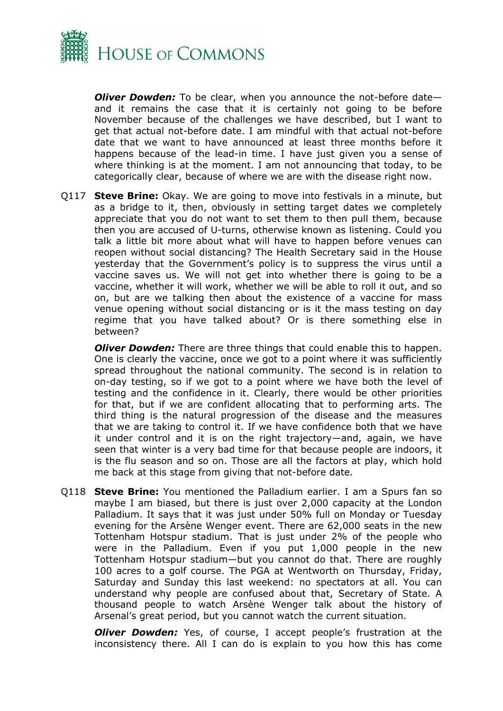

*Oliver Dowden:* To be clear, when you announce the not-before date and it remains the case that it is certainly not going to be before November because of the challenges we have described, but I want to get that actual not-before date. I am mindful with that actual not-before date that we want to have announced at least three months before it happens because of the lead-in time. I have just given you a sense of where thinking is at the moment. I am not announcing that today, to be categorically clear, because of where we are with the disease right now.

Q117 **Steve Brine:** Okay. We are going to move into festivals in a minute, but as a bridge to it, then, obviously in setting target dates we completely appreciate that you do not want to set them to then pull them, because then you are accused of U-turns, otherwise known as listening. Could you talk a little bit more about what will have to happen before venues can reopen without social distancing? The Health Secretary said in the House yesterday that the Government's policy is to suppress the virus until a vaccine saves us. We will not get into whether there is going to be a vaccine, whether it will work, whether we will be able to roll it out, and so on, but are we talking then about the existence of a vaccine for mass venue opening without social distancing or is it the mass testing on day regime that you have talked about? Or is there something else in between?

*Oliver Dowden:* There are three things that could enable this to happen. One is clearly the vaccine, once we got to a point where it was sufficiently spread throughout the national community. The second is in relation to on-day testing, so if we got to a point where we have both the level of testing and the confidence in it. Clearly, there would be other priorities for that, but if we are confident allocating that to performing arts. The third thing is the natural progression of the disease and the measures that we are taking to control it. If we have confidence both that we have it under control and it is on the right trajectory—and, again, we have seen that winter is a very bad time for that because people are indoors, it is the flu season and so on. Those are all the factors at play, which hold me back at this stage from giving that not-before date.

Q118 **Steve Brine:** You mentioned the Palladium earlier. I am a Spurs fan so maybe I am biased, but there is just over 2,000 capacity at the London Palladium. It says that it was just under 50% full on Monday or Tuesday evening for the Arsène Wenger event. There are 62,000 seats in the new Tottenham Hotspur stadium. That is just under 2% of the people who were in the Palladium. Even if you put 1,000 people in the new Tottenham Hotspur stadium—but you cannot do that. There are roughly 100 acres to a golf course. The PGA at Wentworth on Thursday, Friday, Saturday and Sunday this last weekend: no spectators at all. You can understand why people are confused about that, Secretary of State. A thousand people to watch Arsène Wenger talk about the history of Arsenal's great period, but you cannot watch the current situation.

*Oliver Dowden:* Yes, of course, I accept people's frustration at the inconsistency there. All I can do is explain to you how this has come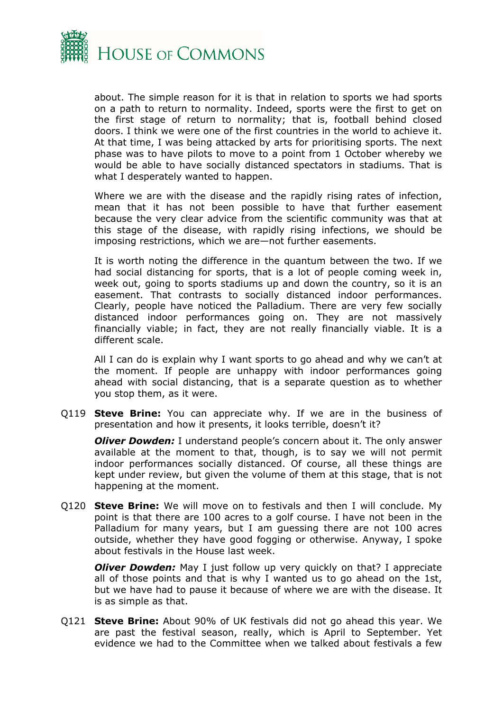

about. The simple reason for it is that in relation to sports we had sports on a path to return to normality. Indeed, sports were the first to get on the first stage of return to normality; that is, football behind closed doors. I think we were one of the first countries in the world to achieve it. At that time, I was being attacked by arts for prioritising sports. The next phase was to have pilots to move to a point from 1 October whereby we would be able to have socially distanced spectators in stadiums. That is what I desperately wanted to happen.

Where we are with the disease and the rapidly rising rates of infection, mean that it has not been possible to have that further easement because the very clear advice from the scientific community was that at this stage of the disease, with rapidly rising infections, we should be imposing restrictions, which we are—not further easements.

It is worth noting the difference in the quantum between the two. If we had social distancing for sports, that is a lot of people coming week in, week out, going to sports stadiums up and down the country, so it is an easement. That contrasts to socially distanced indoor performances. Clearly, people have noticed the Palladium. There are very few socially distanced indoor performances going on. They are not massively financially viable; in fact, they are not really financially viable. It is a different scale.

All I can do is explain why I want sports to go ahead and why we can't at the moment. If people are unhappy with indoor performances going ahead with social distancing, that is a separate question as to whether you stop them, as it were.

Q119 **Steve Brine:** You can appreciate why. If we are in the business of presentation and how it presents, it looks terrible, doesn't it?

*Oliver Dowden:* I understand people's concern about it. The only answer available at the moment to that, though, is to say we will not permit indoor performances socially distanced. Of course, all these things are kept under review, but given the volume of them at this stage, that is not happening at the moment.

Q120 **Steve Brine:** We will move on to festivals and then I will conclude. My point is that there are 100 acres to a golf course. I have not been in the Palladium for many years, but I am guessing there are not 100 acres outside, whether they have good fogging or otherwise. Anyway, I spoke about festivals in the House last week.

*Oliver Dowden:* May I just follow up very quickly on that? I appreciate all of those points and that is why I wanted us to go ahead on the 1st, but we have had to pause it because of where we are with the disease. It is as simple as that.

Q121 **Steve Brine:** About 90% of UK festivals did not go ahead this year. We are past the festival season, really, which is April to September. Yet evidence we had to the Committee when we talked about festivals a few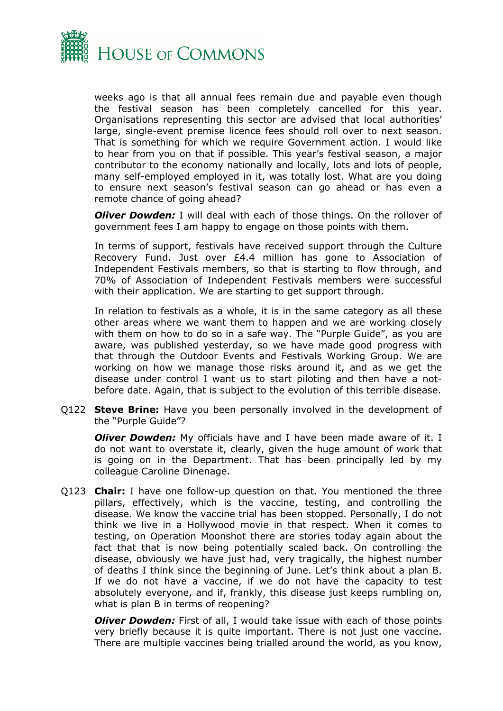

weeks ago is that all annual fees remain due and payable even though the festival season has been completely cancelled for this year. Organisations representing this sector are advised that local authorities' large, single-event premise licence fees should roll over to next season. That is something for which we require Government action. I would like to hear from you on that if possible. This year's festival season, a major contributor to the economy nationally and locally, lots and lots of people, many self-employed employed in it, was totally lost. What are you doing to ensure next season's festival season can go ahead or has even a remote chance of going ahead?

*Oliver Dowden:* I will deal with each of those things. On the rollover of government fees I am happy to engage on those points with them.

In terms of support, festivals have received support through the Culture Recovery Fund. Just over £4.4 million has gone to Association of Independent Festivals members, so that is starting to flow through, and 70% of Association of Independent Festivals members were successful with their application. We are starting to get support through.

In relation to festivals as a whole, it is in the same category as all these other areas where we want them to happen and we are working closely with them on how to do so in a safe way. The "Purple Guide", as you are aware, was published yesterday, so we have made good progress with that through the Outdoor Events and Festivals Working Group. We are working on how we manage those risks around it, and as we get the disease under control I want us to start piloting and then have a notbefore date. Again, that is subject to the evolution of this terrible disease.

Q122 **Steve Brine:** Have you been personally involved in the development of the "Purple Guide"?

*Oliver Dowden:* My officials have and I have been made aware of it. I do not want to overstate it, clearly, given the huge amount of work that is going on in the Department. That has been principally led by my colleague Caroline Dinenage.

Q123 **Chair:** I have one follow-up question on that. You mentioned the three pillars, effectively, which is the vaccine, testing, and controlling the disease. We know the vaccine trial has been stopped. Personally, I do not think we live in a Hollywood movie in that respect. When it comes to testing, on Operation Moonshot there are stories today again about the fact that that is now being potentially scaled back. On controlling the disease, obviously we have just had, very tragically, the highest number of deaths I think since the beginning of June. Let's think about a plan B. If we do not have a vaccine, if we do not have the capacity to test absolutely everyone, and if, frankly, this disease just keeps rumbling on, what is plan B in terms of reopening?

*Oliver Dowden:* First of all, I would take issue with each of those points very briefly because it is quite important. There is not just one vaccine. There are multiple vaccines being trialled around the world, as you know,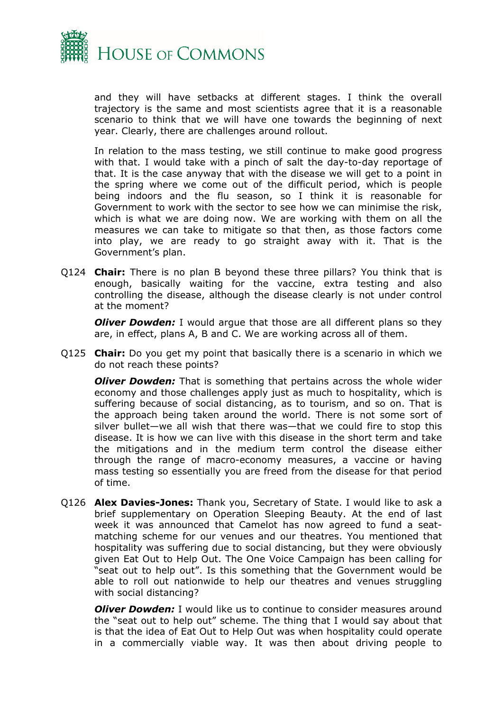

and they will have setbacks at different stages. I think the overall trajectory is the same and most scientists agree that it is a reasonable scenario to think that we will have one towards the beginning of next year. Clearly, there are challenges around rollout.

In relation to the mass testing, we still continue to make good progress with that. I would take with a pinch of salt the day-to-day reportage of that. It is the case anyway that with the disease we will get to a point in the spring where we come out of the difficult period, which is people being indoors and the flu season, so I think it is reasonable for Government to work with the sector to see how we can minimise the risk, which is what we are doing now. We are working with them on all the measures we can take to mitigate so that then, as those factors come into play, we are ready to go straight away with it. That is the Government's plan.

Q124 **Chair:** There is no plan B beyond these three pillars? You think that is enough, basically waiting for the vaccine, extra testing and also controlling the disease, although the disease clearly is not under control at the moment?

*Oliver Dowden:* I would argue that those are all different plans so they are, in effect, plans A, B and C. We are working across all of them.

Q125 **Chair:** Do you get my point that basically there is a scenario in which we do not reach these points?

*Oliver Dowden:* That is something that pertains across the whole wider economy and those challenges apply just as much to hospitality, which is suffering because of social distancing, as to tourism, and so on. That is the approach being taken around the world. There is not some sort of silver bullet—we all wish that there was—that we could fire to stop this disease. It is how we can live with this disease in the short term and take the mitigations and in the medium term control the disease either through the range of macro-economy measures, a vaccine or having mass testing so essentially you are freed from the disease for that period of time.

Q126 **Alex Davies-Jones:** Thank you, Secretary of State. I would like to ask a brief supplementary on Operation Sleeping Beauty. At the end of last week it was announced that Camelot has now agreed to fund a seatmatching scheme for our venues and our theatres. You mentioned that hospitality was suffering due to social distancing, but they were obviously given Eat Out to Help Out. The One Voice Campaign has been calling for "seat out to help out". Is this something that the Government would be able to roll out nationwide to help our theatres and venues struggling with social distancing?

*Oliver Dowden:* I would like us to continue to consider measures around the "seat out to help out" scheme. The thing that I would say about that is that the idea of Eat Out to Help Out was when hospitality could operate in a commercially viable way. It was then about driving people to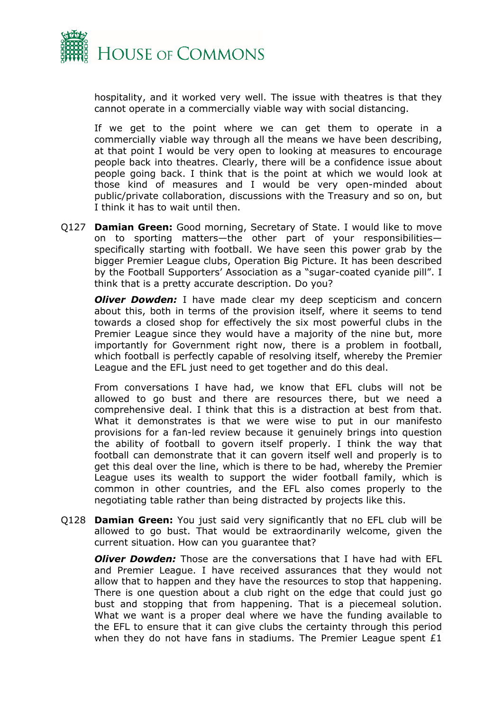

hospitality, and it worked very well. The issue with theatres is that they cannot operate in a commercially viable way with social distancing.

If we get to the point where we can get them to operate in a commercially viable way through all the means we have been describing, at that point I would be very open to looking at measures to encourage people back into theatres. Clearly, there will be a confidence issue about people going back. I think that is the point at which we would look at those kind of measures and I would be very open-minded about public/private collaboration, discussions with the Treasury and so on, but I think it has to wait until then.

Q127 **Damian Green:** Good morning, Secretary of State. I would like to move on to sporting matters—the other part of your responsibilities specifically starting with football. We have seen this power grab by the bigger Premier League clubs, Operation Big Picture. It has been described by the Football Supporters' Association as a "sugar-coated cyanide pill". I think that is a pretty accurate description. Do you?

*Oliver Dowden:* I have made clear my deep scepticism and concern about this, both in terms of the provision itself, where it seems to tend towards a closed shop for effectively the six most powerful clubs in the Premier League since they would have a majority of the nine but, more importantly for Government right now, there is a problem in football, which football is perfectly capable of resolving itself, whereby the Premier League and the EFL just need to get together and do this deal.

From conversations I have had, we know that EFL clubs will not be allowed to go bust and there are resources there, but we need a comprehensive deal. I think that this is a distraction at best from that. What it demonstrates is that we were wise to put in our manifesto provisions for a fan-led review because it genuinely brings into question the ability of football to govern itself properly. I think the way that football can demonstrate that it can govern itself well and properly is to get this deal over the line, which is there to be had, whereby the Premier League uses its wealth to support the wider football family, which is common in other countries, and the EFL also comes properly to the negotiating table rather than being distracted by projects like this.

Q128 **Damian Green:** You just said very significantly that no EFL club will be allowed to go bust. That would be extraordinarily welcome, given the current situation. How can you guarantee that?

*Oliver Dowden:* Those are the conversations that I have had with EFL and Premier League. I have received assurances that they would not allow that to happen and they have the resources to stop that happening. There is one question about a club right on the edge that could just go bust and stopping that from happening. That is a piecemeal solution. What we want is a proper deal where we have the funding available to the EFL to ensure that it can give clubs the certainty through this period when they do not have fans in stadiums. The Premier League spent  $£1$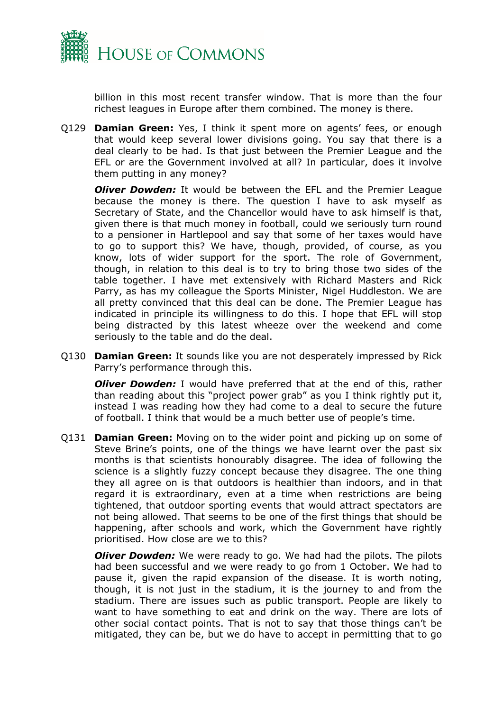

billion in this most recent transfer window. That is more than the four richest leagues in Europe after them combined. The money is there.

Q129 **Damian Green:** Yes, I think it spent more on agents' fees, or enough that would keep several lower divisions going. You say that there is a deal clearly to be had. Is that just between the Premier League and the EFL or are the Government involved at all? In particular, does it involve them putting in any money?

*Oliver Dowden:* It would be between the EFL and the Premier League because the money is there. The question I have to ask myself as Secretary of State, and the Chancellor would have to ask himself is that, given there is that much money in football, could we seriously turn round to a pensioner in Hartlepool and say that some of her taxes would have to go to support this? We have, though, provided, of course, as you know, lots of wider support for the sport. The role of Government, though, in relation to this deal is to try to bring those two sides of the table together. I have met extensively with Richard Masters and Rick Parry, as has my colleague the Sports Minister, Nigel Huddleston. We are all pretty convinced that this deal can be done. The Premier League has indicated in principle its willingness to do this. I hope that EFL will stop being distracted by this latest wheeze over the weekend and come seriously to the table and do the deal.

Q130 **Damian Green:** It sounds like you are not desperately impressed by Rick Parry's performance through this.

*Oliver Dowden:* I would have preferred that at the end of this, rather than reading about this "project power grab" as you I think rightly put it, instead I was reading how they had come to a deal to secure the future of football. I think that would be a much better use of people's time.

Q131 **Damian Green:** Moving on to the wider point and picking up on some of Steve Brine's points, one of the things we have learnt over the past six months is that scientists honourably disagree. The idea of following the science is a slightly fuzzy concept because they disagree. The one thing they all agree on is that outdoors is healthier than indoors, and in that regard it is extraordinary, even at a time when restrictions are being tightened, that outdoor sporting events that would attract spectators are not being allowed. That seems to be one of the first things that should be happening, after schools and work, which the Government have rightly prioritised. How close are we to this?

*Oliver Dowden:* We were ready to go. We had had the pilots. The pilots had been successful and we were ready to go from 1 October. We had to pause it, given the rapid expansion of the disease. It is worth noting, though, it is not just in the stadium, it is the journey to and from the stadium. There are issues such as public transport. People are likely to want to have something to eat and drink on the way. There are lots of other social contact points. That is not to say that those things can't be mitigated, they can be, but we do have to accept in permitting that to go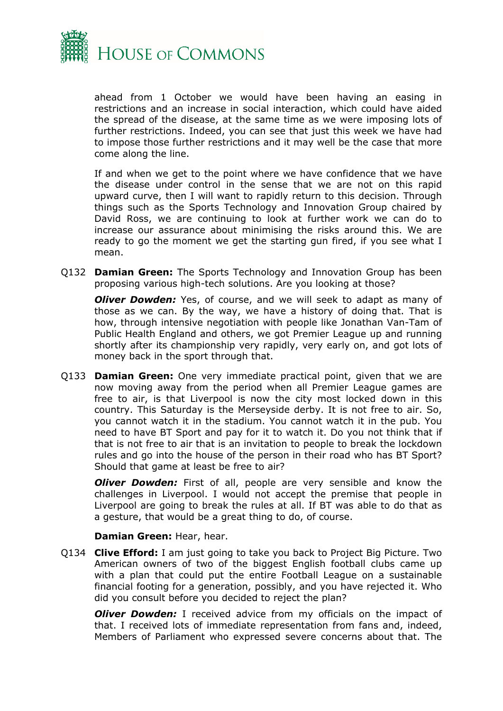

ahead from 1 October we would have been having an easing in restrictions and an increase in social interaction, which could have aided the spread of the disease, at the same time as we were imposing lots of further restrictions. Indeed, you can see that just this week we have had to impose those further restrictions and it may well be the case that more come along the line.

If and when we get to the point where we have confidence that we have the disease under control in the sense that we are not on this rapid upward curve, then I will want to rapidly return to this decision. Through things such as the Sports Technology and Innovation Group chaired by David Ross, we are continuing to look at further work we can do to increase our assurance about minimising the risks around this. We are ready to go the moment we get the starting gun fired, if you see what I mean.

Q132 **Damian Green:** The Sports Technology and Innovation Group has been proposing various high-tech solutions. Are you looking at those?

*Oliver Dowden:* Yes, of course, and we will seek to adapt as many of those as we can. By the way, we have a history of doing that. That is how, through intensive negotiation with people like Jonathan Van-Tam of Public Health England and others, we got Premier League up and running shortly after its championship very rapidly, very early on, and got lots of money back in the sport through that.

Q133 **Damian Green:** One very immediate practical point, given that we are now moving away from the period when all Premier League games are free to air, is that Liverpool is now the city most locked down in this country. This Saturday is the Merseyside derby. It is not free to air. So, you cannot watch it in the stadium. You cannot watch it in the pub. You need to have BT Sport and pay for it to watch it. Do you not think that if that is not free to air that is an invitation to people to break the lockdown rules and go into the house of the person in their road who has BT Sport? Should that game at least be free to air?

*Oliver Dowden:* First of all, people are very sensible and know the challenges in Liverpool. I would not accept the premise that people in Liverpool are going to break the rules at all. If BT was able to do that as a gesture, that would be a great thing to do, of course.

#### **Damian Green:** Hear, hear.

Q134 **Clive Efford:** I am just going to take you back to Project Big Picture. Two American owners of two of the biggest English football clubs came up with a plan that could put the entire Football League on a sustainable financial footing for a generation, possibly, and you have rejected it. Who did you consult before you decided to reject the plan?

*Oliver Dowden:* I received advice from my officials on the impact of that. I received lots of immediate representation from fans and, indeed, Members of Parliament who expressed severe concerns about that. The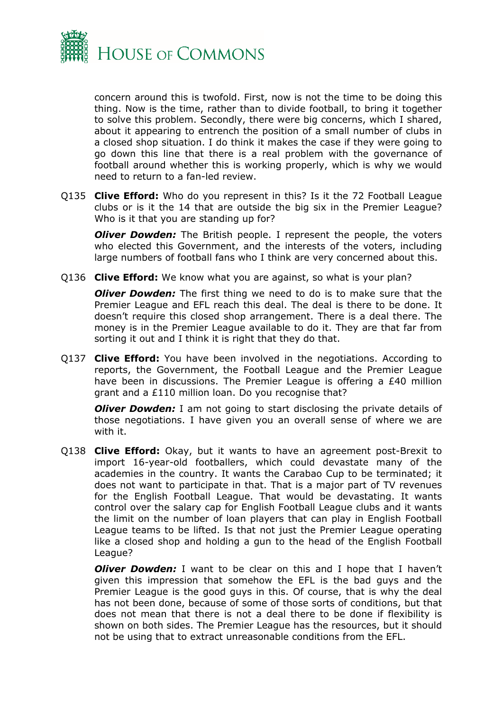

concern around this is twofold. First, now is not the time to be doing this thing. Now is the time, rather than to divide football, to bring it together to solve this problem. Secondly, there were big concerns, which I shared, about it appearing to entrench the position of a small number of clubs in a closed shop situation. I do think it makes the case if they were going to go down this line that there is a real problem with the governance of football around whether this is working properly, which is why we would need to return to a fan-led review.

Q135 **Clive Efford:** Who do you represent in this? Is it the 72 Football League clubs or is it the 14 that are outside the big six in the Premier League? Who is it that you are standing up for?

*Oliver Dowden:* The British people. I represent the people, the voters who elected this Government, and the interests of the voters, including large numbers of football fans who I think are very concerned about this.

Q136 **Clive Efford:** We know what you are against, so what is your plan?

*Oliver Dowden:* The first thing we need to do is to make sure that the Premier League and EFL reach this deal. The deal is there to be done. It doesn't require this closed shop arrangement. There is a deal there. The money is in the Premier League available to do it. They are that far from sorting it out and I think it is right that they do that.

Q137 **Clive Efford:** You have been involved in the negotiations. According to reports, the Government, the Football League and the Premier League have been in discussions. The Premier League is offering a £40 million grant and a £110 million loan. Do you recognise that?

*Oliver Dowden:* I am not going to start disclosing the private details of those negotiations. I have given you an overall sense of where we are with it.

Q138 **Clive Efford:** Okay, but it wants to have an agreement post-Brexit to import 16-year-old footballers, which could devastate many of the academies in the country. It wants the Carabao Cup to be terminated; it does not want to participate in that. That is a major part of TV revenues for the English Football League. That would be devastating. It wants control over the salary cap for English Football League clubs and it wants the limit on the number of loan players that can play in English Football League teams to be lifted. Is that not just the Premier League operating like a closed shop and holding a gun to the head of the English Football League?

*Oliver Dowden:* I want to be clear on this and I hope that I haven't given this impression that somehow the EFL is the bad guys and the Premier League is the good guys in this. Of course, that is why the deal has not been done, because of some of those sorts of conditions, but that does not mean that there is not a deal there to be done if flexibility is shown on both sides. The Premier League has the resources, but it should not be using that to extract unreasonable conditions from the EFL.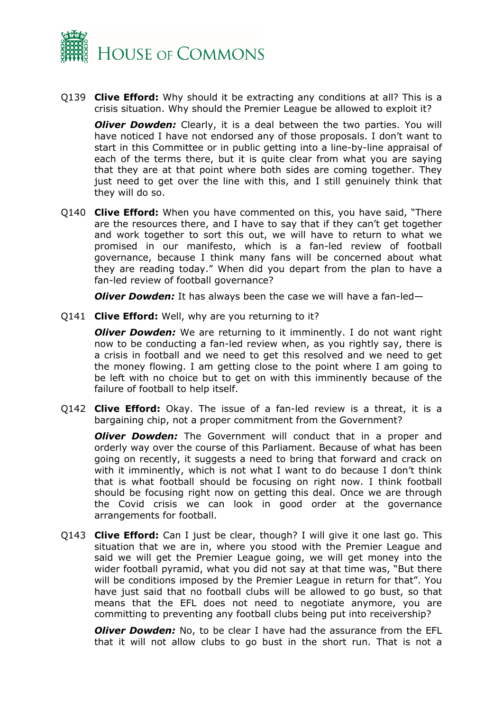

Q139 **Clive Efford:** Why should it be extracting any conditions at all? This is a crisis situation. Why should the Premier League be allowed to exploit it?

*Oliver Dowden:* Clearly, it is a deal between the two parties. You will have noticed I have not endorsed any of those proposals. I don't want to start in this Committee or in public getting into a line-by-line appraisal of each of the terms there, but it is quite clear from what you are saying that they are at that point where both sides are coming together. They just need to get over the line with this, and I still genuinely think that they will do so.

Q140 **Clive Efford:** When you have commented on this, you have said, "There are the resources there, and I have to say that if they can't get together and work together to sort this out, we will have to return to what we promised in our manifesto, which is a fan-led review of football governance, because I think many fans will be concerned about what they are reading today." When did you depart from the plan to have a fan-led review of football governance?

*Oliver Dowden:* It has always been the case we will have a fan-led—

Q141 **Clive Efford:** Well, why are you returning to it?

*Oliver Dowden:* We are returning to it imminently. I do not want right now to be conducting a fan-led review when, as you rightly say, there is a crisis in football and we need to get this resolved and we need to get the money flowing. I am getting close to the point where I am going to be left with no choice but to get on with this imminently because of the failure of football to help itself.

Q142 **Clive Efford:** Okay. The issue of a fan-led review is a threat, it is a bargaining chip, not a proper commitment from the Government?

*Oliver Dowden:* The Government will conduct that in a proper and orderly way over the course of this Parliament. Because of what has been going on recently, it suggests a need to bring that forward and crack on with it imminently, which is not what I want to do because I don't think that is what football should be focusing on right now. I think football should be focusing right now on getting this deal. Once we are through the Covid crisis we can look in good order at the governance arrangements for football.

Q143 **Clive Efford:** Can I just be clear, though? I will give it one last go. This situation that we are in, where you stood with the Premier League and said we will get the Premier League going, we will get money into the wider football pyramid, what you did not say at that time was, "But there will be conditions imposed by the Premier League in return for that". You have just said that no football clubs will be allowed to go bust, so that means that the EFL does not need to negotiate anymore, you are committing to preventing any football clubs being put into receivership?

*Oliver Dowden:* No, to be clear I have had the assurance from the EFL that it will not allow clubs to go bust in the short run. That is not a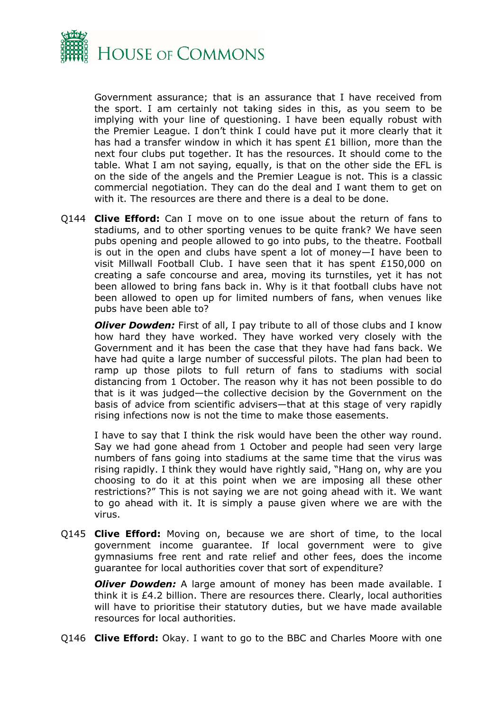

Government assurance; that is an assurance that I have received from the sport. I am certainly not taking sides in this, as you seem to be implying with your line of questioning. I have been equally robust with the Premier League. I don't think I could have put it more clearly that it has had a transfer window in which it has spent £1 billion, more than the next four clubs put together. It has the resources. It should come to the table. What I am not saying, equally, is that on the other side the EFL is on the side of the angels and the Premier League is not. This is a classic commercial negotiation. They can do the deal and I want them to get on with it. The resources are there and there is a deal to be done.

Q144 **Clive Efford:** Can I move on to one issue about the return of fans to stadiums, and to other sporting venues to be quite frank? We have seen pubs opening and people allowed to go into pubs, to the theatre. Football is out in the open and clubs have spent a lot of money—I have been to visit Millwall Football Club. I have seen that it has spent £150,000 on creating a safe concourse and area, moving its turnstiles, yet it has not been allowed to bring fans back in. Why is it that football clubs have not been allowed to open up for limited numbers of fans, when venues like pubs have been able to?

*Oliver Dowden:* First of all, I pay tribute to all of those clubs and I know how hard they have worked. They have worked very closely with the Government and it has been the case that they have had fans back. We have had quite a large number of successful pilots. The plan had been to ramp up those pilots to full return of fans to stadiums with social distancing from 1 October. The reason why it has not been possible to do that is it was judged—the collective decision by the Government on the basis of advice from scientific advisers—that at this stage of very rapidly rising infections now is not the time to make those easements.

I have to say that I think the risk would have been the other way round. Say we had gone ahead from 1 October and people had seen very large numbers of fans going into stadiums at the same time that the virus was rising rapidly. I think they would have rightly said, "Hang on, why are you choosing to do it at this point when we are imposing all these other restrictions?" This is not saying we are not going ahead with it. We want to go ahead with it. It is simply a pause given where we are with the virus.

Q145 **Clive Efford:** Moving on, because we are short of time, to the local government income guarantee. If local government were to give gymnasiums free rent and rate relief and other fees, does the income guarantee for local authorities cover that sort of expenditure?

*Oliver Dowden:* A large amount of money has been made available. I think it is £4.2 billion. There are resources there. Clearly, local authorities will have to prioritise their statutory duties, but we have made available resources for local authorities.

Q146 **Clive Efford:** Okay. I want to go to the BBC and Charles Moore with one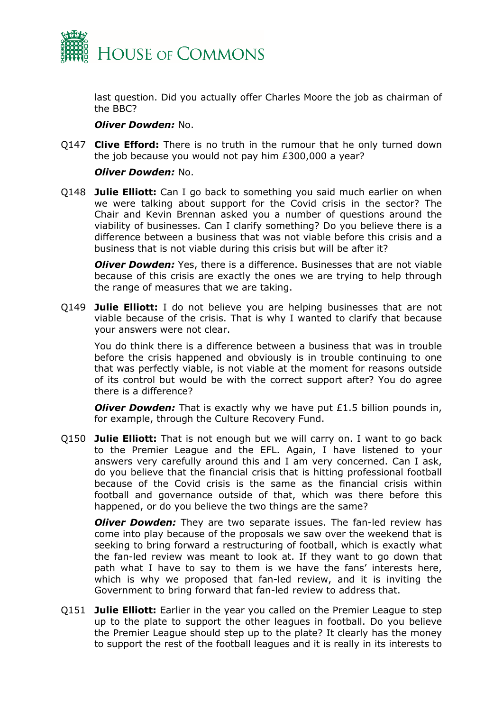

last question. Did you actually offer Charles Moore the job as chairman of the BBC?

## *Oliver Dowden:* No.

Q147 **Clive Efford:** There is no truth in the rumour that he only turned down the job because you would not pay him £300,000 a year?

## *Oliver Dowden:* No.

Q148 **Julie Elliott:** Can I go back to something you said much earlier on when we were talking about support for the Covid crisis in the sector? The Chair and Kevin Brennan asked you a number of questions around the viability of businesses. Can I clarify something? Do you believe there is a difference between a business that was not viable before this crisis and a business that is not viable during this crisis but will be after it?

*Oliver Dowden:* Yes, there is a difference. Businesses that are not viable because of this crisis are exactly the ones we are trying to help through the range of measures that we are taking.

Q149 **Julie Elliott:** I do not believe you are helping businesses that are not viable because of the crisis. That is why I wanted to clarify that because your answers were not clear.

You do think there is a difference between a business that was in trouble before the crisis happened and obviously is in trouble continuing to one that was perfectly viable, is not viable at the moment for reasons outside of its control but would be with the correct support after? You do agree there is a difference?

*Oliver Dowden:* That is exactly why we have put £1.5 billion pounds in, for example, through the Culture Recovery Fund.

Q150 **Julie Elliott:** That is not enough but we will carry on. I want to go back to the Premier League and the EFL. Again, I have listened to your answers very carefully around this and I am very concerned. Can I ask, do you believe that the financial crisis that is hitting professional football because of the Covid crisis is the same as the financial crisis within football and governance outside of that, which was there before this happened, or do you believe the two things are the same?

*Oliver Dowden:* They are two separate issues. The fan-led review has come into play because of the proposals we saw over the weekend that is seeking to bring forward a restructuring of football, which is exactly what the fan-led review was meant to look at. If they want to go down that path what I have to say to them is we have the fans' interests here, which is why we proposed that fan-led review, and it is inviting the Government to bring forward that fan-led review to address that.

Q151 **Julie Elliott:** Earlier in the year you called on the Premier League to step up to the plate to support the other leagues in football. Do you believe the Premier League should step up to the plate? It clearly has the money to support the rest of the football leagues and it is really in its interests to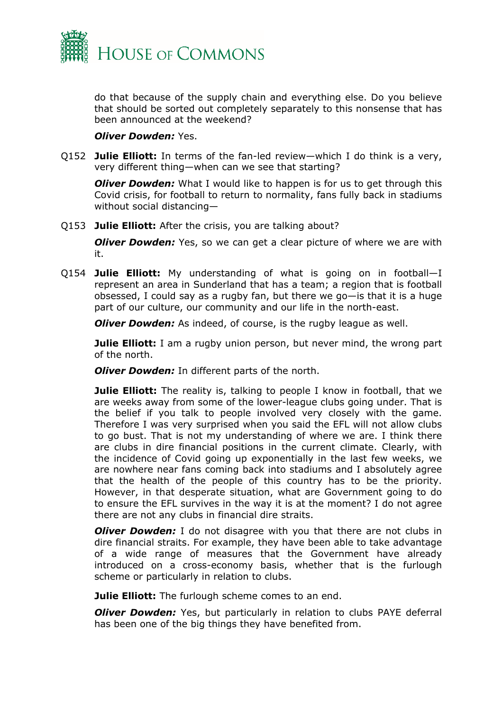

do that because of the supply chain and everything else. Do you believe that should be sorted out completely separately to this nonsense that has been announced at the weekend?

#### *Oliver Dowden:* Yes.

Q152 **Julie Elliott:** In terms of the fan-led review—which I do think is a very, very different thing—when can we see that starting?

*Oliver Dowden:* What I would like to happen is for us to get through this Covid crisis, for football to return to normality, fans fully back in stadiums without social distancing—

Q153 **Julie Elliott:** After the crisis, you are talking about?

*Oliver Dowden:* Yes, so we can get a clear picture of where we are with it.

Q154 **Julie Elliott:** My understanding of what is going on in football—I represent an area in Sunderland that has a team; a region that is football obsessed, I could say as a rugby fan, but there we go—is that it is a huge part of our culture, our community and our life in the north-east.

*Oliver Dowden:* As indeed, of course, is the rugby league as well.

**Julie Elliott:** I am a rugby union person, but never mind, the wrong part of the north.

*Oliver Dowden:* In different parts of the north.

**Julie Elliott:** The reality is, talking to people I know in football, that we are weeks away from some of the lower-league clubs going under. That is the belief if you talk to people involved very closely with the game. Therefore I was very surprised when you said the EFL will not allow clubs to go bust. That is not my understanding of where we are. I think there are clubs in dire financial positions in the current climate. Clearly, with the incidence of Covid going up exponentially in the last few weeks, we are nowhere near fans coming back into stadiums and I absolutely agree that the health of the people of this country has to be the priority. However, in that desperate situation, what are Government going to do to ensure the EFL survives in the way it is at the moment? I do not agree there are not any clubs in financial dire straits.

*Oliver Dowden:* I do not disagree with you that there are not clubs in dire financial straits. For example, they have been able to take advantage of a wide range of measures that the Government have already introduced on a cross-economy basis, whether that is the furlough scheme or particularly in relation to clubs.

**Julie Elliott:** The furlough scheme comes to an end.

*Oliver Dowden:* Yes, but particularly in relation to clubs PAYE deferral has been one of the big things they have benefited from.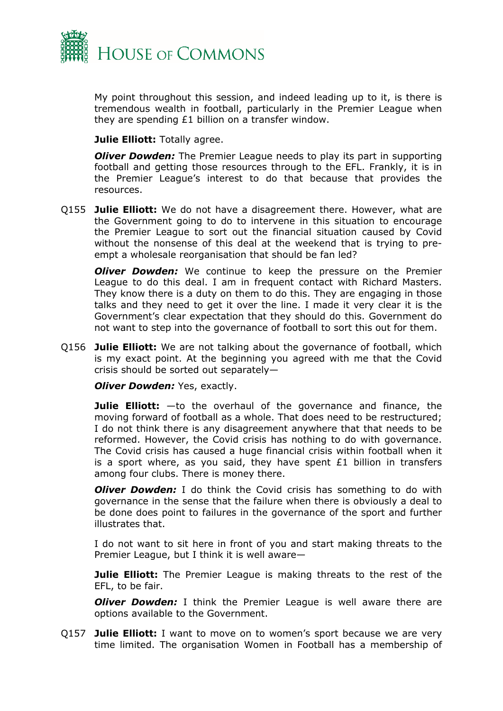

My point throughout this session, and indeed leading up to it, is there is tremendous wealth in football, particularly in the Premier League when they are spending £1 billion on a transfer window.

**Julie Elliott:** Totally agree.

*Oliver Dowden:* The Premier League needs to play its part in supporting football and getting those resources through to the EFL. Frankly, it is in the Premier League's interest to do that because that provides the resources.

Q155 **Julie Elliott:** We do not have a disagreement there. However, what are the Government going to do to intervene in this situation to encourage the Premier League to sort out the financial situation caused by Covid without the nonsense of this deal at the weekend that is trying to preempt a wholesale reorganisation that should be fan led?

*Oliver Dowden:* We continue to keep the pressure on the Premier League to do this deal. I am in frequent contact with Richard Masters. They know there is a duty on them to do this. They are engaging in those talks and they need to get it over the line. I made it very clear it is the Government's clear expectation that they should do this. Government do not want to step into the governance of football to sort this out for them.

Q156 **Julie Elliott:** We are not talking about the governance of football, which is my exact point. At the beginning you agreed with me that the Covid crisis should be sorted out separately—

*Oliver Dowden: Yes, exactly.* 

**Julie Elliott:** —to the overhaul of the governance and finance, the moving forward of football as a whole. That does need to be restructured; I do not think there is any disagreement anywhere that that needs to be reformed. However, the Covid crisis has nothing to do with governance. The Covid crisis has caused a huge financial crisis within football when it is a sport where, as you said, they have spent  $E1$  billion in transfers among four clubs. There is money there.

*Oliver Dowden:* I do think the Covid crisis has something to do with governance in the sense that the failure when there is obviously a deal to be done does point to failures in the governance of the sport and further illustrates that.

I do not want to sit here in front of you and start making threats to the Premier League, but I think it is well aware—

**Julie Elliott:** The Premier League is making threats to the rest of the EFL, to be fair.

*Oliver Dowden:* I think the Premier League is well aware there are options available to the Government.

Q157 **Julie Elliott:** I want to move on to women's sport because we are very time limited. The organisation Women in Football has a membership of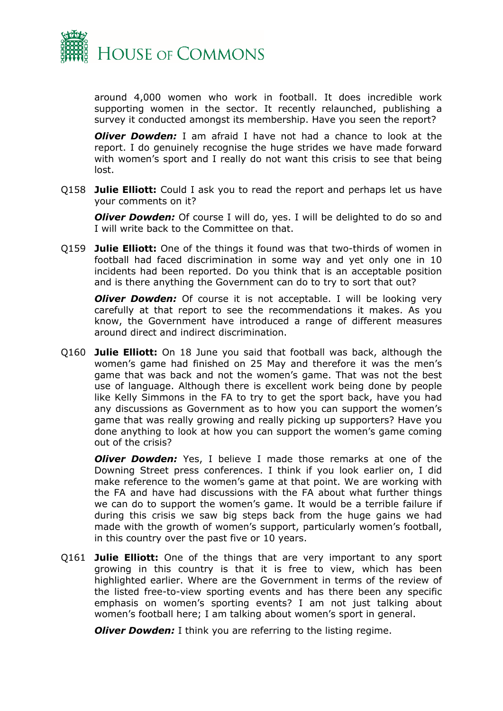

around 4,000 women who work in football. It does incredible work supporting women in the sector. It recently relaunched, publishing a survey it conducted amongst its membership. Have you seen the report?

*Oliver Dowden:* I am afraid I have not had a chance to look at the report. I do genuinely recognise the huge strides we have made forward with women's sport and I really do not want this crisis to see that being lost.

Q158 **Julie Elliott:** Could I ask you to read the report and perhaps let us have your comments on it?

*Oliver Dowden:* Of course I will do, yes. I will be delighted to do so and I will write back to the Committee on that.

Q159 **Julie Elliott:** One of the things it found was that two-thirds of women in football had faced discrimination in some way and yet only one in 10 incidents had been reported. Do you think that is an acceptable position and is there anything the Government can do to try to sort that out?

*Oliver Dowden:* Of course it is not acceptable. I will be looking very carefully at that report to see the recommendations it makes. As you know, the Government have introduced a range of different measures around direct and indirect discrimination.

Q160 **Julie Elliott:** On 18 June you said that football was back, although the women's game had finished on 25 May and therefore it was the men's game that was back and not the women's game. That was not the best use of language. Although there is excellent work being done by people like Kelly Simmons in the FA to try to get the sport back, have you had any discussions as Government as to how you can support the women's game that was really growing and really picking up supporters? Have you done anything to look at how you can support the women's game coming out of the crisis?

*Oliver Dowden:* Yes, I believe I made those remarks at one of the Downing Street press conferences. I think if you look earlier on, I did make reference to the women's game at that point. We are working with the FA and have had discussions with the FA about what further things we can do to support the women's game. It would be a terrible failure if during this crisis we saw big steps back from the huge gains we had made with the growth of women's support, particularly women's football, in this country over the past five or 10 years.

Q161 **Julie Elliott:** One of the things that are very important to any sport growing in this country is that it is free to view, which has been highlighted earlier. Where are the Government in terms of the review of the listed free-to-view sporting events and has there been any specific emphasis on women's sporting events? I am not just talking about women's football here; I am talking about women's sport in general.

*Oliver Dowden:* I think you are referring to the listing regime.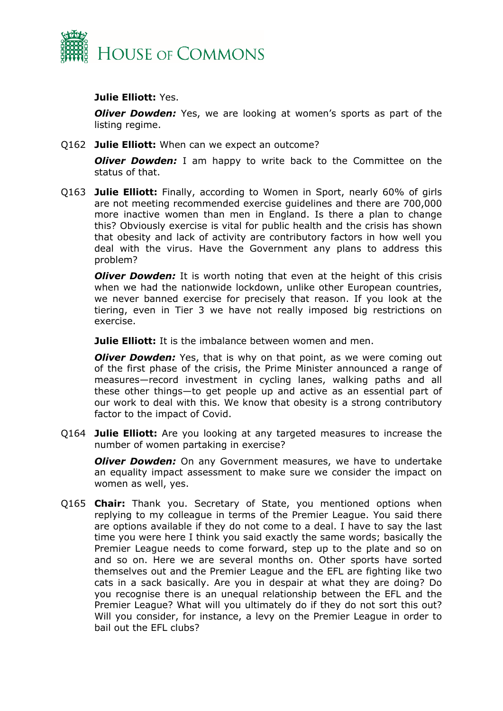

## **Julie Elliott:** Yes.

*Oliver Dowden:* Yes, we are looking at women's sports as part of the listing regime.

Q162 **Julie Elliott:** When can we expect an outcome?

*Oliver Dowden:* I am happy to write back to the Committee on the status of that.

Q163 **Julie Elliott:** Finally, according to Women in Sport, nearly 60% of girls are not meeting recommended exercise guidelines and there are 700,000 more inactive women than men in England. Is there a plan to change this? Obviously exercise is vital for public health and the crisis has shown that obesity and lack of activity are contributory factors in how well you deal with the virus. Have the Government any plans to address this problem?

*Oliver Dowden:* It is worth noting that even at the height of this crisis when we had the nationwide lockdown, unlike other European countries, we never banned exercise for precisely that reason. If you look at the tiering, even in Tier 3 we have not really imposed big restrictions on exercise.

**Julie Elliott:** It is the imbalance between women and men.

*Oliver Dowden:* Yes, that is why on that point, as we were coming out of the first phase of the crisis, the Prime Minister announced a range of measures—record investment in cycling lanes, walking paths and all these other things—to get people up and active as an essential part of our work to deal with this. We know that obesity is a strong contributory factor to the impact of Covid.

Q164 **Julie Elliott:** Are you looking at any targeted measures to increase the number of women partaking in exercise?

*Oliver Dowden:* On any Government measures, we have to undertake an equality impact assessment to make sure we consider the impact on women as well, yes.

Q165 **Chair:** Thank you. Secretary of State, you mentioned options when replying to my colleague in terms of the Premier League. You said there are options available if they do not come to a deal. I have to say the last time you were here I think you said exactly the same words; basically the Premier League needs to come forward, step up to the plate and so on and so on. Here we are several months on. Other sports have sorted themselves out and the Premier League and the EFL are fighting like two cats in a sack basically. Are you in despair at what they are doing? Do you recognise there is an unequal relationship between the EFL and the Premier League? What will you ultimately do if they do not sort this out? Will you consider, for instance, a levy on the Premier League in order to bail out the EFL clubs?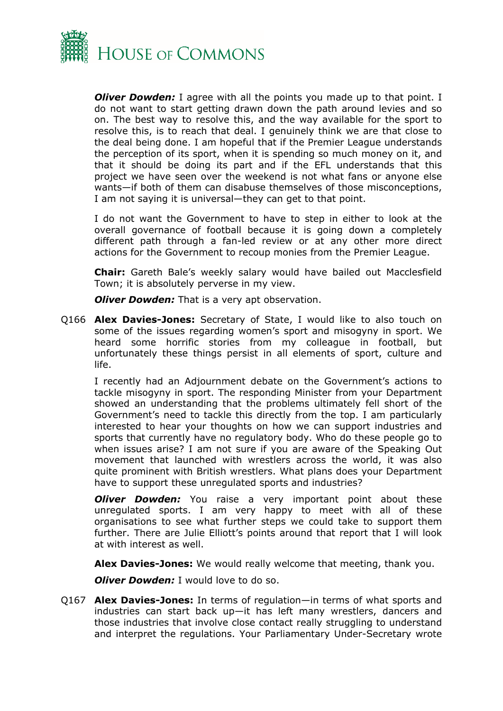

*Oliver Dowden:* I agree with all the points you made up to that point. I do not want to start getting drawn down the path around levies and so on. The best way to resolve this, and the way available for the sport to resolve this, is to reach that deal. I genuinely think we are that close to the deal being done. I am hopeful that if the Premier League understands the perception of its sport, when it is spending so much money on it, and that it should be doing its part and if the EFL understands that this project we have seen over the weekend is not what fans or anyone else wants—if both of them can disabuse themselves of those misconceptions, I am not saying it is universal—they can get to that point.

I do not want the Government to have to step in either to look at the overall governance of football because it is going down a completely different path through a fan-led review or at any other more direct actions for the Government to recoup monies from the Premier League.

**Chair:** Gareth Bale's weekly salary would have bailed out Macclesfield Town; it is absolutely perverse in my view.

*Oliver Dowden:* That is a very apt observation.

Q166 **Alex Davies-Jones:** Secretary of State, I would like to also touch on some of the issues regarding women's sport and misogyny in sport. We heard some horrific stories from my colleague in football, but unfortunately these things persist in all elements of sport, culture and life.

I recently had an Adjournment debate on the Government's actions to tackle misogyny in sport. The responding Minister from your Department showed an understanding that the problems ultimately fell short of the Government's need to tackle this directly from the top. I am particularly interested to hear your thoughts on how we can support industries and sports that currently have no regulatory body. Who do these people go to when issues arise? I am not sure if you are aware of the Speaking Out movement that launched with wrestlers across the world, it was also quite prominent with British wrestlers. What plans does your Department have to support these unregulated sports and industries?

*Oliver Dowden:* You raise a very important point about these unregulated sports. I am very happy to meet with all of these organisations to see what further steps we could take to support them further. There are Julie Elliott's points around that report that I will look at with interest as well.

**Alex Davies-Jones:** We would really welcome that meeting, thank you.

*Oliver Dowden:* I would love to do so.

Q167 **Alex Davies-Jones:** In terms of regulation—in terms of what sports and industries can start back up—it has left many wrestlers, dancers and those industries that involve close contact really struggling to understand and interpret the regulations. Your Parliamentary Under-Secretary wrote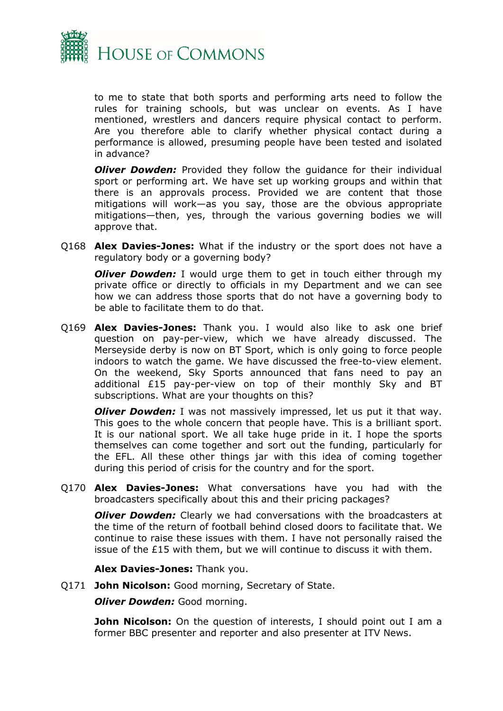

to me to state that both sports and performing arts need to follow the rules for training schools, but was unclear on events. As I have mentioned, wrestlers and dancers require physical contact to perform. Are you therefore able to clarify whether physical contact during a performance is allowed, presuming people have been tested and isolated in advance?

*Oliver Dowden:* Provided they follow the guidance for their individual sport or performing art. We have set up working groups and within that there is an approvals process. Provided we are content that those mitigations will work—as you say, those are the obvious appropriate mitigations—then, yes, through the various governing bodies we will approve that.

Q168 **Alex Davies-Jones:** What if the industry or the sport does not have a regulatory body or a governing body?

*Oliver Dowden:* I would urge them to get in touch either through my private office or directly to officials in my Department and we can see how we can address those sports that do not have a governing body to be able to facilitate them to do that.

Q169 **Alex Davies-Jones:** Thank you. I would also like to ask one brief question on pay-per-view, which we have already discussed. The Merseyside derby is now on BT Sport, which is only going to force people indoors to watch the game. We have discussed the free-to-view element. On the weekend, Sky Sports announced that fans need to pay an additional £15 pay-per-view on top of their monthly Sky and BT subscriptions. What are your thoughts on this?

*Oliver Dowden:* I was not massively impressed, let us put it that way. This goes to the whole concern that people have. This is a brilliant sport. It is our national sport. We all take huge pride in it. I hope the sports themselves can come together and sort out the funding, particularly for the EFL. All these other things jar with this idea of coming together during this period of crisis for the country and for the sport.

Q170 **Alex Davies-Jones:** What conversations have you had with the broadcasters specifically about this and their pricing packages?

*Oliver Dowden:* Clearly we had conversations with the broadcasters at the time of the return of football behind closed doors to facilitate that. We continue to raise these issues with them. I have not personally raised the issue of the £15 with them, but we will continue to discuss it with them.

**Alex Davies-Jones:** Thank you.

Q171 **John Nicolson:** Good morning, Secretary of State.

*Oliver Dowden: Good morning.* 

**John Nicolson:** On the question of interests, I should point out I am a former BBC presenter and reporter and also presenter at ITV News.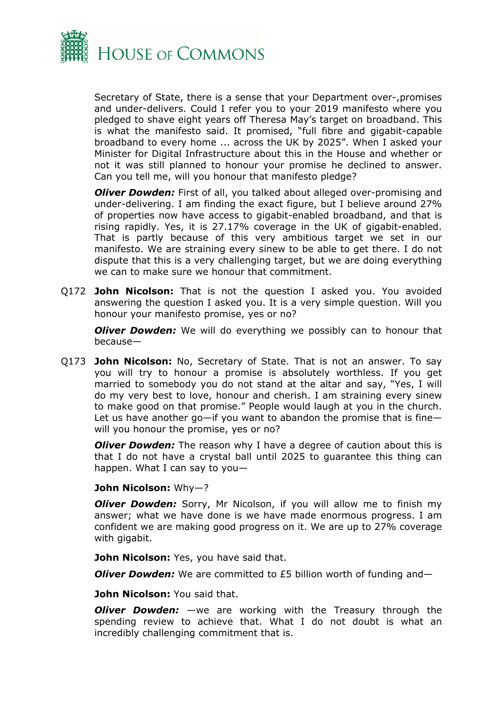

Secretary of State, there is a sense that your Department over-,promises and under-delivers. Could I refer you to your 2019 manifesto where you pledged to shave eight years off Theresa May's target on broadband. This is what the manifesto said. It promised, "full fibre and gigabit-capable broadband to every home ... across the UK by 2025". When I asked your Minister for Digital Infrastructure about this in the House and whether or not it was still planned to honour your promise he declined to answer. Can you tell me, will you honour that manifesto pledge?

*Oliver Dowden:* First of all, you talked about alleged over-promising and under-delivering. I am finding the exact figure, but I believe around 27% of properties now have access to gigabit-enabled broadband, and that is rising rapidly. Yes, it is 27.17% coverage in the UK of gigabit-enabled. That is partly because of this very ambitious target we set in our manifesto. We are straining every sinew to be able to get there. I do not dispute that this is a very challenging target, but we are doing everything we can to make sure we honour that commitment.

Q172 **John Nicolson:** That is not the question I asked you. You avoided answering the question I asked you. It is a very simple question. Will you honour your manifesto promise, yes or no?

*Oliver Dowden:* We will do everything we possibly can to honour that because—

Q173 **John Nicolson:** No, Secretary of State. That is not an answer. To say you will try to honour a promise is absolutely worthless. If you get married to somebody you do not stand at the altar and say, "Yes, I will do my very best to love, honour and cherish. I am straining every sinew to make good on that promise." People would laugh at you in the church. Let us have another go—if you want to abandon the promise that is fine will you honour the promise, yes or no?

*Oliver Dowden:* The reason why I have a degree of caution about this is that I do not have a crystal ball until 2025 to guarantee this thing can happen. What I can say to you—

#### **John Nicolson:** Why—?

*Oliver Dowden:* Sorry, Mr Nicolson, if you will allow me to finish my answer; what we have done is we have made enormous progress. I am confident we are making good progress on it. We are up to 27% coverage with gigabit.

**John Nicolson:** Yes, you have said that.

*Oliver Dowden:* We are committed to £5 billion worth of funding and—

**John Nicolson:** You said that.

*Oliver Dowden:* —we are working with the Treasury through the spending review to achieve that. What I do not doubt is what an incredibly challenging commitment that is.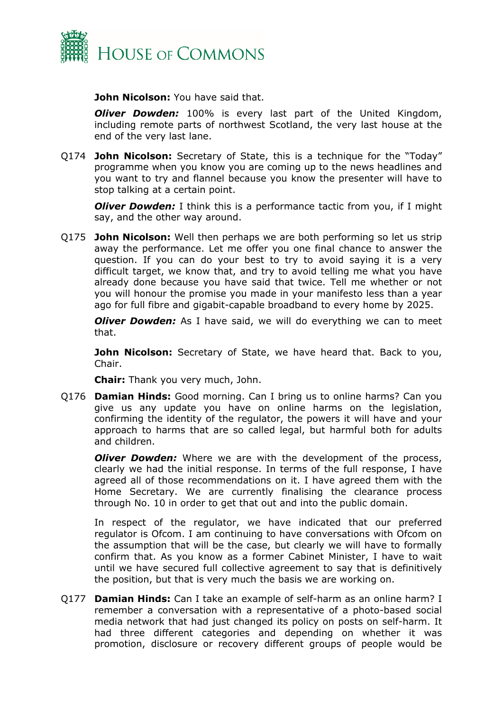

**John Nicolson:** You have said that.

*Oliver Dowden:* 100% is every last part of the United Kingdom, including remote parts of northwest Scotland, the very last house at the end of the very last lane.

Q174 **John Nicolson:** Secretary of State, this is a technique for the "Today" programme when you know you are coming up to the news headlines and you want to try and flannel because you know the presenter will have to stop talking at a certain point.

*Oliver Dowden:* I think this is a performance tactic from you, if I might say, and the other way around.

Q175 **John Nicolson:** Well then perhaps we are both performing so let us strip away the performance. Let me offer you one final chance to answer the question. If you can do your best to try to avoid saying it is a very difficult target, we know that, and try to avoid telling me what you have already done because you have said that twice. Tell me whether or not you will honour the promise you made in your manifesto less than a year ago for full fibre and gigabit-capable broadband to every home by 2025.

*Oliver Dowden:* As I have said, we will do everything we can to meet that.

**John Nicolson:** Secretary of State, we have heard that. Back to you, Chair.

**Chair:** Thank you very much, John.

Q176 **Damian Hinds:** Good morning. Can I bring us to online harms? Can you give us any update you have on online harms on the legislation, confirming the identity of the regulator, the powers it will have and your approach to harms that are so called legal, but harmful both for adults and children.

*Oliver Dowden:* Where we are with the development of the process, clearly we had the initial response. In terms of the full response, I have agreed all of those recommendations on it. I have agreed them with the Home Secretary. We are currently finalising the clearance process through No. 10 in order to get that out and into the public domain.

In respect of the regulator, we have indicated that our preferred regulator is Ofcom. I am continuing to have conversations with Ofcom on the assumption that will be the case, but clearly we will have to formally confirm that. As you know as a former Cabinet Minister, I have to wait until we have secured full collective agreement to say that is definitively the position, but that is very much the basis we are working on.

Q177 **Damian Hinds:** Can I take an example of self-harm as an online harm? I remember a conversation with a representative of a photo-based social media network that had just changed its policy on posts on self-harm. It had three different categories and depending on whether it was promotion, disclosure or recovery different groups of people would be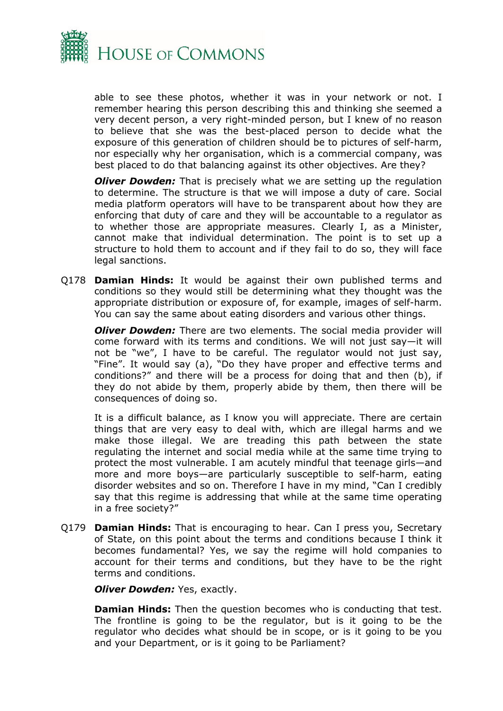

able to see these photos, whether it was in your network or not. I remember hearing this person describing this and thinking she seemed a very decent person, a very right-minded person, but I knew of no reason to believe that she was the best-placed person to decide what the exposure of this generation of children should be to pictures of self-harm, nor especially why her organisation, which is a commercial company, was best placed to do that balancing against its other objectives. Are they?

*Oliver Dowden:* That is precisely what we are setting up the regulation to determine. The structure is that we will impose a duty of care. Social media platform operators will have to be transparent about how they are enforcing that duty of care and they will be accountable to a regulator as to whether those are appropriate measures. Clearly I, as a Minister, cannot make that individual determination. The point is to set up a structure to hold them to account and if they fail to do so, they will face legal sanctions.

Q178 **Damian Hinds:** It would be against their own published terms and conditions so they would still be determining what they thought was the appropriate distribution or exposure of, for example, images of self-harm. You can say the same about eating disorders and various other things.

*Oliver Dowden:* There are two elements. The social media provider will come forward with its terms and conditions. We will not just say—it will not be "we", I have to be careful. The regulator would not just say, "Fine". It would say (a), "Do they have proper and effective terms and conditions?" and there will be a process for doing that and then (b), if they do not abide by them, properly abide by them, then there will be consequences of doing so.

It is a difficult balance, as I know you will appreciate. There are certain things that are very easy to deal with, which are illegal harms and we make those illegal. We are treading this path between the state regulating the internet and social media while at the same time trying to protect the most vulnerable. I am acutely mindful that teenage girls—and more and more boys—are particularly susceptible to self-harm, eating disorder websites and so on. Therefore I have in my mind, "Can I credibly say that this regime is addressing that while at the same time operating in a free society?"

Q179 **Damian Hinds:** That is encouraging to hear. Can I press you, Secretary of State, on this point about the terms and conditions because I think it becomes fundamental? Yes, we say the regime will hold companies to account for their terms and conditions, but they have to be the right terms and conditions.

*Oliver Dowden: Yes, exactly.* 

**Damian Hinds:** Then the question becomes who is conducting that test. The frontline is going to be the regulator, but is it going to be the regulator who decides what should be in scope, or is it going to be you and your Department, or is it going to be Parliament?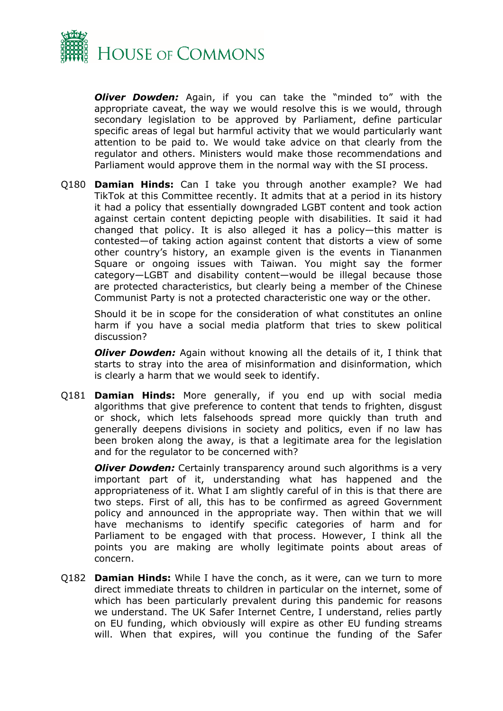

*Oliver Dowden:* Again, if you can take the "minded to" with the appropriate caveat, the way we would resolve this is we would, through secondary legislation to be approved by Parliament, define particular specific areas of legal but harmful activity that we would particularly want attention to be paid to. We would take advice on that clearly from the regulator and others. Ministers would make those recommendations and Parliament would approve them in the normal way with the SI process.

Q180 **Damian Hinds:** Can I take you through another example? We had TikTok at this Committee recently. It admits that at a period in its history it had a policy that essentially downgraded LGBT content and took action against certain content depicting people with disabilities. It said it had changed that policy. It is also alleged it has a policy—this matter is contested—of taking action against content that distorts a view of some other country's history, an example given is the events in Tiananmen Square or ongoing issues with Taiwan. You might say the former category—LGBT and disability content—would be illegal because those are protected characteristics, but clearly being a member of the Chinese Communist Party is not a protected characteristic one way or the other.

Should it be in scope for the consideration of what constitutes an online harm if you have a social media platform that tries to skew political discussion?

*Oliver Dowden:* Again without knowing all the details of it, I think that starts to stray into the area of misinformation and disinformation, which is clearly a harm that we would seek to identify.

Q181 **Damian Hinds:** More generally, if you end up with social media algorithms that give preference to content that tends to frighten, disgust or shock, which lets falsehoods spread more quickly than truth and generally deepens divisions in society and politics, even if no law has been broken along the away, is that a legitimate area for the legislation and for the regulator to be concerned with?

*Oliver Dowden:* Certainly transparency around such algorithms is a very important part of it, understanding what has happened and the appropriateness of it. What I am slightly careful of in this is that there are two steps. First of all, this has to be confirmed as agreed Government policy and announced in the appropriate way. Then within that we will have mechanisms to identify specific categories of harm and for Parliament to be engaged with that process. However, I think all the points you are making are wholly legitimate points about areas of concern.

Q182 **Damian Hinds:** While I have the conch, as it were, can we turn to more direct immediate threats to children in particular on the internet, some of which has been particularly prevalent during this pandemic for reasons we understand. The UK Safer Internet Centre, I understand, relies partly on EU funding, which obviously will expire as other EU funding streams will. When that expires, will you continue the funding of the Safer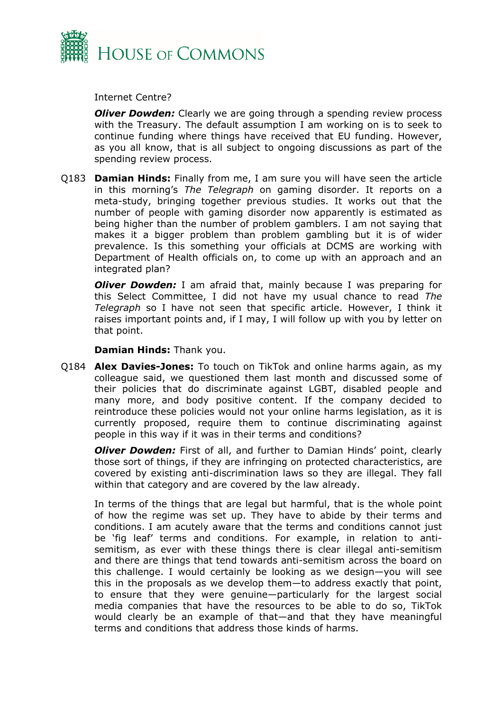

Internet Centre?

*Oliver Dowden:* Clearly we are going through a spending review process with the Treasury. The default assumption I am working on is to seek to continue funding where things have received that EU funding. However, as you all know, that is all subject to ongoing discussions as part of the spending review process.

Q183 **Damian Hinds:** Finally from me, I am sure you will have seen the article in this morning's *The Telegraph* on gaming disorder. It reports on a meta-study, bringing together previous studies. It works out that the number of people with gaming disorder now apparently is estimated as being higher than the number of problem gamblers. I am not saying that makes it a bigger problem than problem gambling but it is of wider prevalence. Is this something your officials at DCMS are working with Department of Health officials on, to come up with an approach and an integrated plan?

*Oliver Dowden:* I am afraid that, mainly because I was preparing for this Select Committee, I did not have my usual chance to read *The Telegraph* so I have not seen that specific article. However, I think it raises important points and, if I may, I will follow up with you by letter on that point.

**Damian Hinds:** Thank you.

Q184 **Alex Davies-Jones:** To touch on TikTok and online harms again, as my colleague said, we questioned them last month and discussed some of their policies that do discriminate against LGBT, disabled people and many more, and body positive content. If the company decided to reintroduce these policies would not your online harms legislation, as it is currently proposed, require them to continue discriminating against people in this way if it was in their terms and conditions?

*Oliver Dowden:* First of all, and further to Damian Hinds' point, clearly those sort of things, if they are infringing on protected characteristics, are covered by existing anti-discrimination laws so they are illegal. They fall within that category and are covered by the law already.

In terms of the things that are legal but harmful, that is the whole point of how the regime was set up. They have to abide by their terms and conditions. I am acutely aware that the terms and conditions cannot just be 'fig leaf' terms and conditions. For example, in relation to antisemitism, as ever with these things there is clear illegal anti-semitism and there are things that tend towards anti-semitism across the board on this challenge. I would certainly be looking as we design—you will see this in the proposals as we develop them—to address exactly that point, to ensure that they were genuine—particularly for the largest social media companies that have the resources to be able to do so, TikTok would clearly be an example of that—and that they have meaningful terms and conditions that address those kinds of harms.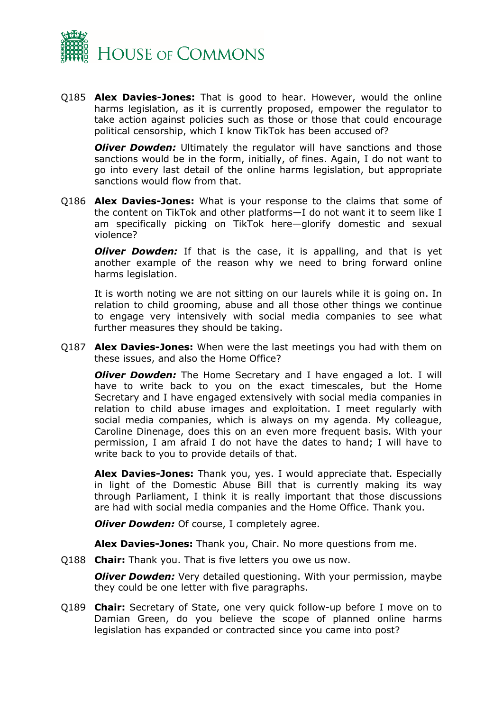

Q185 **Alex Davies-Jones:** That is good to hear. However, would the online harms legislation, as it is currently proposed, empower the regulator to take action against policies such as those or those that could encourage political censorship, which I know TikTok has been accused of?

*Oliver Dowden:* Ultimately the regulator will have sanctions and those sanctions would be in the form, initially, of fines. Again, I do not want to go into every last detail of the online harms legislation, but appropriate sanctions would flow from that.

Q186 **Alex Davies-Jones:** What is your response to the claims that some of the content on TikTok and other platforms—I do not want it to seem like I am specifically picking on TikTok here—glorify domestic and sexual violence?

*Oliver Dowden:* If that is the case, it is appalling, and that is yet another example of the reason why we need to bring forward online harms legislation.

It is worth noting we are not sitting on our laurels while it is going on. In relation to child grooming, abuse and all those other things we continue to engage very intensively with social media companies to see what further measures they should be taking.

Q187 **Alex Davies-Jones:** When were the last meetings you had with them on these issues, and also the Home Office?

*Oliver Dowden:* The Home Secretary and I have engaged a lot. I will have to write back to you on the exact timescales, but the Home Secretary and I have engaged extensively with social media companies in relation to child abuse images and exploitation. I meet regularly with social media companies, which is always on my agenda. My colleague, Caroline Dinenage, does this on an even more frequent basis. With your permission, I am afraid I do not have the dates to hand; I will have to write back to you to provide details of that.

**Alex Davies-Jones:** Thank you, yes. I would appreciate that. Especially in light of the Domestic Abuse Bill that is currently making its way through Parliament, I think it is really important that those discussions are had with social media companies and the Home Office. Thank you.

*Oliver Dowden: Of course, I completely agree.* 

**Alex Davies-Jones:** Thank you, Chair. No more questions from me.

Q188 **Chair:** Thank you. That is five letters you owe us now.

*Oliver Dowden:* Very detailed questioning. With your permission, maybe they could be one letter with five paragraphs.

Q189 **Chair:** Secretary of State, one very quick follow-up before I move on to Damian Green, do you believe the scope of planned online harms legislation has expanded or contracted since you came into post?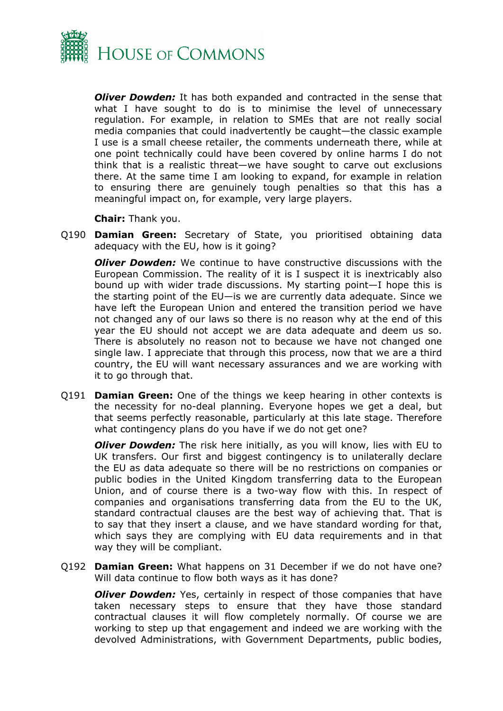

*Oliver Dowden:* It has both expanded and contracted in the sense that what I have sought to do is to minimise the level of unnecessary regulation. For example, in relation to SMEs that are not really social media companies that could inadvertently be caught—the classic example I use is a small cheese retailer, the comments underneath there, while at one point technically could have been covered by online harms I do not think that is a realistic threat—we have sought to carve out exclusions there. At the same time I am looking to expand, for example in relation to ensuring there are genuinely tough penalties so that this has a meaningful impact on, for example, very large players.

**Chair:** Thank you.

Q190 **Damian Green:** Secretary of State, you prioritised obtaining data adequacy with the EU, how is it going?

*Oliver Dowden:* We continue to have constructive discussions with the European Commission. The reality of it is I suspect it is inextricably also bound up with wider trade discussions. My starting point—I hope this is the starting point of the EU—is we are currently data adequate. Since we have left the European Union and entered the transition period we have not changed any of our laws so there is no reason why at the end of this year the EU should not accept we are data adequate and deem us so. There is absolutely no reason not to because we have not changed one single law. I appreciate that through this process, now that we are a third country, the EU will want necessary assurances and we are working with it to go through that.

Q191 **Damian Green:** One of the things we keep hearing in other contexts is the necessity for no-deal planning. Everyone hopes we get a deal, but that seems perfectly reasonable, particularly at this late stage. Therefore what contingency plans do you have if we do not get one?

*Oliver Dowden:* The risk here initially, as you will know, lies with EU to UK transfers. Our first and biggest contingency is to unilaterally declare the EU as data adequate so there will be no restrictions on companies or public bodies in the United Kingdom transferring data to the European Union, and of course there is a two-way flow with this. In respect of companies and organisations transferring data from the EU to the UK, standard contractual clauses are the best way of achieving that. That is to say that they insert a clause, and we have standard wording for that, which says they are complying with EU data requirements and in that way they will be compliant.

Q192 **Damian Green:** What happens on 31 December if we do not have one? Will data continue to flow both ways as it has done?

*Oliver Dowden:* Yes, certainly in respect of those companies that have taken necessary steps to ensure that they have those standard contractual clauses it will flow completely normally. Of course we are working to step up that engagement and indeed we are working with the devolved Administrations, with Government Departments, public bodies,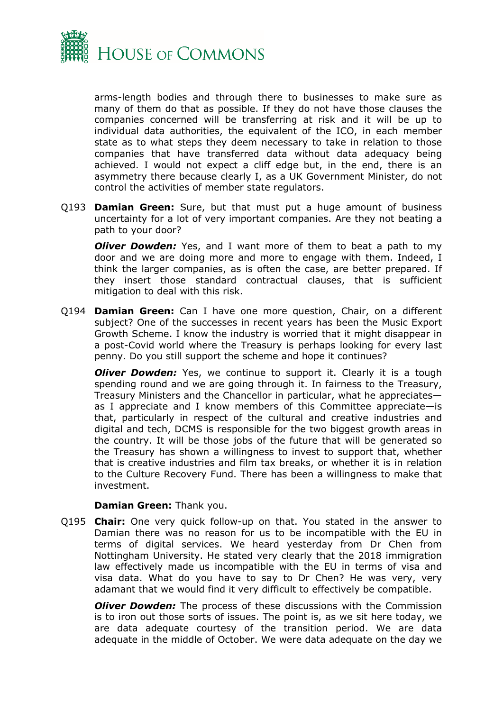

arms-length bodies and through there to businesses to make sure as many of them do that as possible. If they do not have those clauses the companies concerned will be transferring at risk and it will be up to individual data authorities, the equivalent of the ICO, in each member state as to what steps they deem necessary to take in relation to those companies that have transferred data without data adequacy being achieved. I would not expect a cliff edge but, in the end, there is an asymmetry there because clearly I, as a UK Government Minister, do not control the activities of member state regulators.

Q193 **Damian Green:** Sure, but that must put a huge amount of business uncertainty for a lot of very important companies. Are they not beating a path to your door?

*Oliver Dowden:* Yes, and I want more of them to beat a path to my door and we are doing more and more to engage with them. Indeed, I think the larger companies, as is often the case, are better prepared. If they insert those standard contractual clauses, that is sufficient mitigation to deal with this risk.

Q194 **Damian Green:** Can I have one more question, Chair, on a different subject? One of the successes in recent years has been the Music Export Growth Scheme. I know the industry is worried that it might disappear in a post-Covid world where the Treasury is perhaps looking for every last penny. Do you still support the scheme and hope it continues?

*Oliver Dowden:* Yes, we continue to support it. Clearly it is a tough spending round and we are going through it. In fairness to the Treasury, Treasury Ministers and the Chancellor in particular, what he appreciates as I appreciate and I know members of this Committee appreciate—is that, particularly in respect of the cultural and creative industries and digital and tech, DCMS is responsible for the two biggest growth areas in the country. It will be those jobs of the future that will be generated so the Treasury has shown a willingness to invest to support that, whether that is creative industries and film tax breaks, or whether it is in relation to the Culture Recovery Fund. There has been a willingness to make that investment.

#### **Damian Green:** Thank you.

Q195 **Chair:** One very quick follow-up on that. You stated in the answer to Damian there was no reason for us to be incompatible with the EU in terms of digital services. We heard yesterday from Dr Chen from Nottingham University. He stated very clearly that the 2018 immigration law effectively made us incompatible with the EU in terms of visa and visa data. What do you have to say to Dr Chen? He was very, very adamant that we would find it very difficult to effectively be compatible.

*Oliver Dowden:* The process of these discussions with the Commission is to iron out those sorts of issues. The point is, as we sit here today, we are data adequate courtesy of the transition period. We are data adequate in the middle of October. We were data adequate on the day we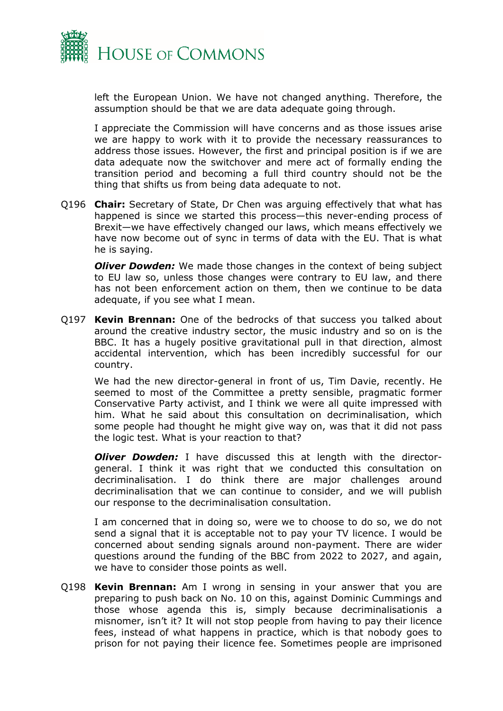

left the European Union. We have not changed anything. Therefore, the assumption should be that we are data adequate going through.

I appreciate the Commission will have concerns and as those issues arise we are happy to work with it to provide the necessary reassurances to address those issues. However, the first and principal position is if we are data adequate now the switchover and mere act of formally ending the transition period and becoming a full third country should not be the thing that shifts us from being data adequate to not.

Q196 **Chair:** Secretary of State, Dr Chen was arguing effectively that what has happened is since we started this process—this never-ending process of Brexit—we have effectively changed our laws, which means effectively we have now become out of sync in terms of data with the EU. That is what he is saying.

*Oliver Dowden:* We made those changes in the context of being subject to EU law so, unless those changes were contrary to EU law, and there has not been enforcement action on them, then we continue to be data adequate, if you see what I mean.

Q197 **Kevin Brennan:** One of the bedrocks of that success you talked about around the creative industry sector, the music industry and so on is the BBC. It has a hugely positive gravitational pull in that direction, almost accidental intervention, which has been incredibly successful for our country.

We had the new director-general in front of us, Tim Davie, recently. He seemed to most of the Committee a pretty sensible, pragmatic former Conservative Party activist, and I think we were all quite impressed with him. What he said about this consultation on decriminalisation, which some people had thought he might give way on, was that it did not pass the logic test. What is your reaction to that?

*Oliver Dowden:* I have discussed this at length with the directorgeneral. I think it was right that we conducted this consultation on decriminalisation. I do think there are major challenges around decriminalisation that we can continue to consider, and we will publish our response to the decriminalisation consultation.

I am concerned that in doing so, were we to choose to do so, we do not send a signal that it is acceptable not to pay your TV licence. I would be concerned about sending signals around non-payment. There are wider questions around the funding of the BBC from 2022 to 2027, and again, we have to consider those points as well.

Q198 **Kevin Brennan:** Am I wrong in sensing in your answer that you are preparing to push back on No. 10 on this, against Dominic Cummings and those whose agenda this is, simply because decriminalisationis a misnomer, isn't it? It will not stop people from having to pay their licence fees, instead of what happens in practice, which is that nobody goes to prison for not paying their licence fee. Sometimes people are imprisoned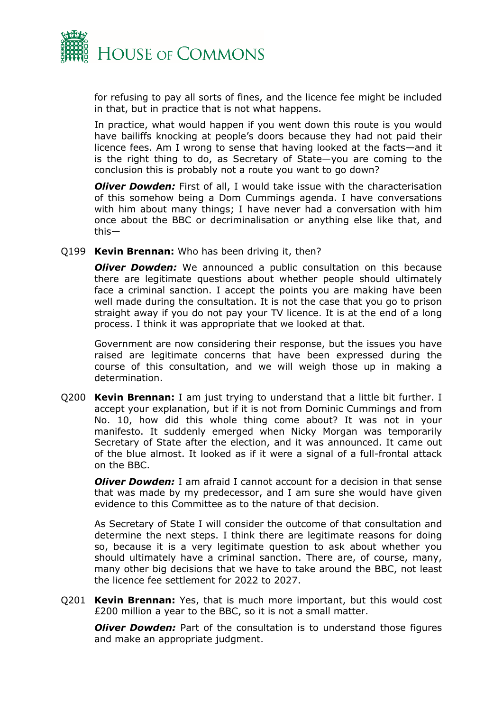

for refusing to pay all sorts of fines, and the licence fee might be included in that, but in practice that is not what happens.

In practice, what would happen if you went down this route is you would have bailiffs knocking at people's doors because they had not paid their licence fees. Am I wrong to sense that having looked at the facts—and it is the right thing to do, as Secretary of State—you are coming to the conclusion this is probably not a route you want to go down?

*Oliver Dowden:* First of all, I would take issue with the characterisation of this somehow being a Dom Cummings agenda. I have conversations with him about many things; I have never had a conversation with him once about the BBC or decriminalisation or anything else like that, and this—

Q199 **Kevin Brennan:** Who has been driving it, then?

*Oliver Dowden:* We announced a public consultation on this because there are legitimate questions about whether people should ultimately face a criminal sanction. I accept the points you are making have been well made during the consultation. It is not the case that you go to prison straight away if you do not pay your TV licence. It is at the end of a long process. I think it was appropriate that we looked at that.

Government are now considering their response, but the issues you have raised are legitimate concerns that have been expressed during the course of this consultation, and we will weigh those up in making a determination.

Q200 **Kevin Brennan:** I am just trying to understand that a little bit further. I accept your explanation, but if it is not from Dominic Cummings and from No. 10, how did this whole thing come about? It was not in your manifesto. It suddenly emerged when Nicky Morgan was temporarily Secretary of State after the election, and it was announced. It came out of the blue almost. It looked as if it were a signal of a full-frontal attack on the BBC.

*Oliver Dowden:* I am afraid I cannot account for a decision in that sense that was made by my predecessor, and I am sure she would have given evidence to this Committee as to the nature of that decision.

As Secretary of State I will consider the outcome of that consultation and determine the next steps. I think there are legitimate reasons for doing so, because it is a very legitimate question to ask about whether you should ultimately have a criminal sanction. There are, of course, many, many other big decisions that we have to take around the BBC, not least the licence fee settlement for 2022 to 2027.

Q201 **Kevin Brennan:** Yes, that is much more important, but this would cost £200 million a year to the BBC, so it is not a small matter.

*Oliver Dowden:* Part of the consultation is to understand those figures and make an appropriate judgment.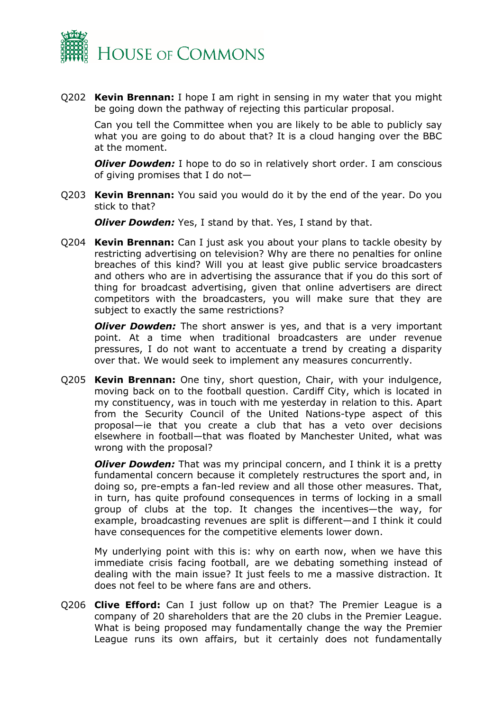

Q202 **Kevin Brennan:** I hope I am right in sensing in my water that you might be going down the pathway of rejecting this particular proposal.

Can you tell the Committee when you are likely to be able to publicly say what you are going to do about that? It is a cloud hanging over the BBC at the moment.

*Oliver Dowden:* I hope to do so in relatively short order. I am conscious of giving promises that I do not—

Q203 **Kevin Brennan:** You said you would do it by the end of the year. Do you stick to that?

*Oliver Dowden:* Yes, I stand by that. Yes, I stand by that.

Q204 **Kevin Brennan:** Can I just ask you about your plans to tackle obesity by restricting advertising on television? Why are there no penalties for online breaches of this kind? Will you at least give public service broadcasters and others who are in advertising the assurance that if you do this sort of thing for broadcast advertising, given that online advertisers are direct competitors with the broadcasters, you will make sure that they are subject to exactly the same restrictions?

*Oliver Dowden:* The short answer is yes, and that is a very important point. At a time when traditional broadcasters are under revenue pressures, I do not want to accentuate a trend by creating a disparity over that. We would seek to implement any measures concurrently.

Q205 **Kevin Brennan:** One tiny, short question, Chair, with your indulgence, moving back on to the football question. Cardiff City, which is located in my constituency, was in touch with me yesterday in relation to this. Apart from the Security Council of the United Nations-type aspect of this proposal—ie that you create a club that has a veto over decisions elsewhere in football—that was floated by Manchester United, what was wrong with the proposal?

*Oliver Dowden:* That was my principal concern, and I think it is a pretty fundamental concern because it completely restructures the sport and, in doing so, pre-empts a fan-led review and all those other measures. That, in turn, has quite profound consequences in terms of locking in a small group of clubs at the top. It changes the incentives—the way, for example, broadcasting revenues are split is different—and I think it could have consequences for the competitive elements lower down.

My underlying point with this is: why on earth now, when we have this immediate crisis facing football, are we debating something instead of dealing with the main issue? It just feels to me a massive distraction. It does not feel to be where fans are and others.

Q206 **Clive Efford:** Can I just follow up on that? The Premier League is a company of 20 shareholders that are the 20 clubs in the Premier League. What is being proposed may fundamentally change the way the Premier League runs its own affairs, but it certainly does not fundamentally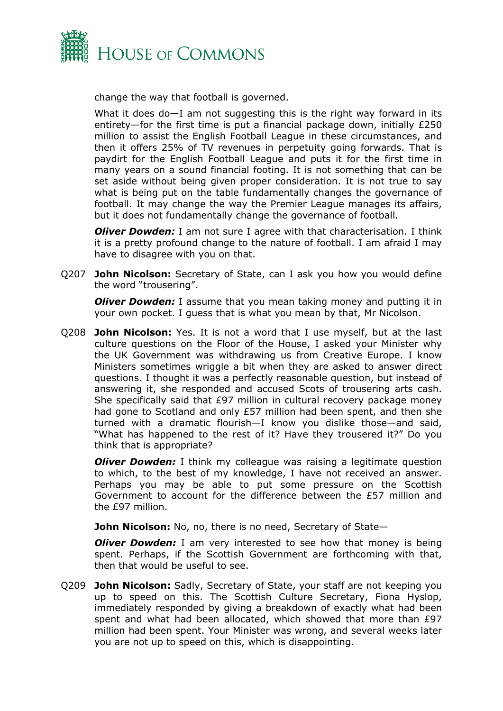

change the way that football is governed.

What it does do—I am not suggesting this is the right way forward in its entirety—for the first time is put a financial package down, initially £250 million to assist the English Football League in these circumstances, and then it offers 25% of TV revenues in perpetuity going forwards. That is paydirt for the English Football League and puts it for the first time in many years on a sound financial footing. It is not something that can be set aside without being given proper consideration. It is not true to say what is being put on the table fundamentally changes the governance of football. It may change the way the Premier League manages its affairs, but it does not fundamentally change the governance of football.

*Oliver Dowden:* I am not sure I agree with that characterisation. I think it is a pretty profound change to the nature of football. I am afraid I may have to disagree with you on that.

Q207 **John Nicolson:** Secretary of State, can I ask you how you would define the word "trousering".

*Oliver Dowden:* I assume that you mean taking money and putting it in your own pocket. I guess that is what you mean by that, Mr Nicolson.

Q208 **John Nicolson:** Yes. It is not a word that I use myself, but at the last culture questions on the Floor of the House, I asked your Minister why the UK Government was withdrawing us from Creative Europe. I know Ministers sometimes wriggle a bit when they are asked to answer direct questions. I thought it was a perfectly reasonable question, but instead of answering it, she responded and accused Scots of trousering arts cash. She specifically said that £97 million in cultural recovery package money had gone to Scotland and only £57 million had been spent, and then she turned with a dramatic flourish—I know you dislike those—and said, "What has happened to the rest of it? Have they trousered it?" Do you think that is appropriate?

*Oliver Dowden:* I think my colleague was raising a legitimate question to which, to the best of my knowledge, I have not received an answer. Perhaps you may be able to put some pressure on the Scottish Government to account for the difference between the £57 million and the £97 million.

**John Nicolson:** No, no, there is no need, Secretary of State—

*Oliver Dowden:* I am very interested to see how that money is being spent. Perhaps, if the Scottish Government are forthcoming with that, then that would be useful to see.

Q209 **John Nicolson:** Sadly, Secretary of State, your staff are not keeping you up to speed on this. The Scottish Culture Secretary, Fiona Hyslop, immediately responded by giving a breakdown of exactly what had been spent and what had been allocated, which showed that more than £97 million had been spent. Your Minister was wrong, and several weeks later you are not up to speed on this, which is disappointing.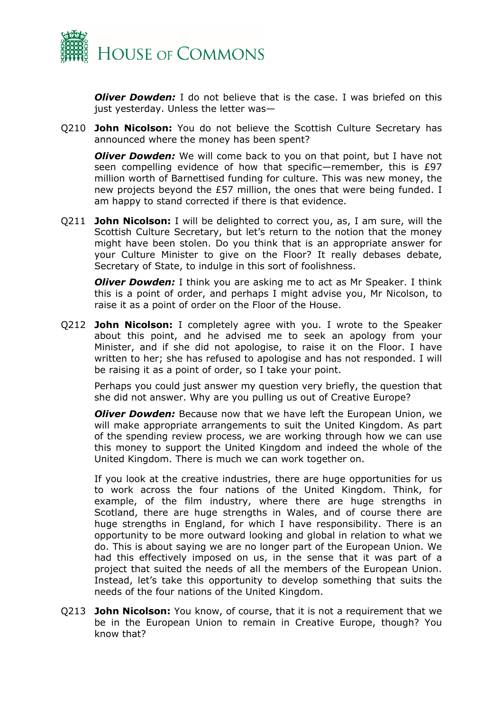

*Oliver Dowden:* I do not believe that is the case. I was briefed on this just yesterday. Unless the letter was—

Q210 **John Nicolson:** You do not believe the Scottish Culture Secretary has announced where the money has been spent?

*Oliver Dowden:* We will come back to you on that point, but I have not seen compelling evidence of how that specific—remember, this is £97 million worth of Barnettised funding for culture. This was new money, the new projects beyond the £57 million, the ones that were being funded. I am happy to stand corrected if there is that evidence.

Q211 **John Nicolson:** I will be delighted to correct you, as, I am sure, will the Scottish Culture Secretary, but let's return to the notion that the money might have been stolen. Do you think that is an appropriate answer for your Culture Minister to give on the Floor? It really debases debate, Secretary of State, to indulge in this sort of foolishness.

*Oliver Dowden:* I think you are asking me to act as Mr Speaker. I think this is a point of order, and perhaps I might advise you, Mr Nicolson, to raise it as a point of order on the Floor of the House.

Q212 **John Nicolson:** I completely agree with you. I wrote to the Speaker about this point, and he advised me to seek an apology from your Minister, and if she did not apologise, to raise it on the Floor. I have written to her; she has refused to apologise and has not responded. I will be raising it as a point of order, so I take your point.

Perhaps you could just answer my question very briefly, the question that she did not answer. Why are you pulling us out of Creative Europe?

*Oliver Dowden:* Because now that we have left the European Union, we will make appropriate arrangements to suit the United Kingdom. As part of the spending review process, we are working through how we can use this money to support the United Kingdom and indeed the whole of the United Kingdom. There is much we can work together on.

If you look at the creative industries, there are huge opportunities for us to work across the four nations of the United Kingdom. Think, for example, of the film industry, where there are huge strengths in Scotland, there are huge strengths in Wales, and of course there are huge strengths in England, for which I have responsibility. There is an opportunity to be more outward looking and global in relation to what we do. This is about saying we are no longer part of the European Union. We had this effectively imposed on us, in the sense that it was part of a project that suited the needs of all the members of the European Union. Instead, let's take this opportunity to develop something that suits the needs of the four nations of the United Kingdom.

Q213 **John Nicolson:** You know, of course, that it is not a requirement that we be in the European Union to remain in Creative Europe, though? You know that?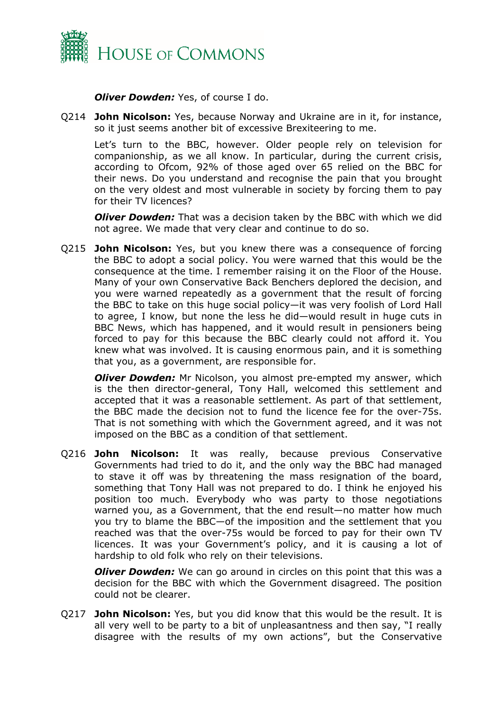

*Oliver Dowden:* Yes, of course I do.

Q214 **John Nicolson:** Yes, because Norway and Ukraine are in it, for instance, so it just seems another bit of excessive Brexiteering to me.

Let's turn to the BBC, however. Older people rely on television for companionship, as we all know. In particular, during the current crisis, according to Ofcom, 92% of those aged over 65 relied on the BBC for their news. Do you understand and recognise the pain that you brought on the very oldest and most vulnerable in society by forcing them to pay for their TV licences?

*Oliver Dowden:* That was a decision taken by the BBC with which we did not agree. We made that very clear and continue to do so.

Q215 **John Nicolson:** Yes, but you knew there was a consequence of forcing the BBC to adopt a social policy. You were warned that this would be the consequence at the time. I remember raising it on the Floor of the House. Many of your own Conservative Back Benchers deplored the decision, and you were warned repeatedly as a government that the result of forcing the BBC to take on this huge social policy—it was very foolish of Lord Hall to agree, I know, but none the less he did—would result in huge cuts in BBC News, which has happened, and it would result in pensioners being forced to pay for this because the BBC clearly could not afford it. You knew what was involved. It is causing enormous pain, and it is something that you, as a government, are responsible for.

**Oliver Dowden:** Mr Nicolson, you almost pre-empted my answer, which is the then director-general, Tony Hall, welcomed this settlement and accepted that it was a reasonable settlement. As part of that settlement, the BBC made the decision not to fund the licence fee for the over-75s. That is not something with which the Government agreed, and it was not imposed on the BBC as a condition of that settlement.

Q216 **John Nicolson:** It was really, because previous Conservative Governments had tried to do it, and the only way the BBC had managed to stave it off was by threatening the mass resignation of the board, something that Tony Hall was not prepared to do. I think he enjoyed his position too much. Everybody who was party to those negotiations warned you, as a Government, that the end result—no matter how much you try to blame the BBC—of the imposition and the settlement that you reached was that the over-75s would be forced to pay for their own TV licences. It was your Government's policy, and it is causing a lot of hardship to old folk who rely on their televisions.

*Oliver Dowden:* We can go around in circles on this point that this was a decision for the BBC with which the Government disagreed. The position could not be clearer.

Q217 **John Nicolson:** Yes, but you did know that this would be the result. It is all very well to be party to a bit of unpleasantness and then say, "I really disagree with the results of my own actions", but the Conservative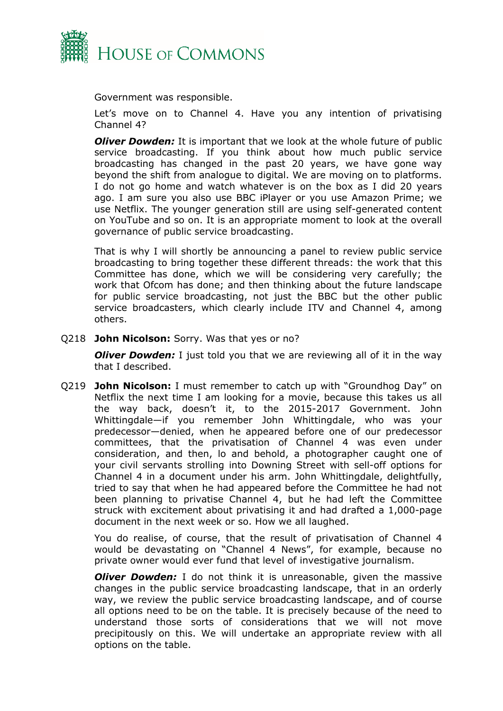

Government was responsible.

Let's move on to Channel 4. Have you any intention of privatising Channel 4?

*Oliver Dowden:* It is important that we look at the whole future of public service broadcasting. If you think about how much public service broadcasting has changed in the past 20 years, we have gone way beyond the shift from analogue to digital. We are moving on to platforms. I do not go home and watch whatever is on the box as I did 20 years ago. I am sure you also use BBC iPlayer or you use Amazon Prime; we use Netflix. The younger generation still are using self-generated content on YouTube and so on. It is an appropriate moment to look at the overall governance of public service broadcasting.

That is why I will shortly be announcing a panel to review public service broadcasting to bring together these different threads: the work that this Committee has done, which we will be considering very carefully; the work that Ofcom has done; and then thinking about the future landscape for public service broadcasting, not just the BBC but the other public service broadcasters, which clearly include ITV and Channel 4, among others.

#### Q218 **John Nicolson:** Sorry. Was that yes or no?

*Oliver Dowden:* I just told you that we are reviewing all of it in the way that I described.

Q219 **John Nicolson:** I must remember to catch up with "Groundhog Day" on Netflix the next time I am looking for a movie, because this takes us all the way back, doesn't it, to the 2015-2017 Government. John Whittingdale—if you remember John Whittingdale, who was your predecessor—denied, when he appeared before one of our predecessor committees, that the privatisation of Channel 4 was even under consideration, and then, lo and behold, a photographer caught one of your civil servants strolling into Downing Street with sell-off options for Channel 4 in a document under his arm. John Whittingdale, delightfully, tried to say that when he had appeared before the Committee he had not been planning to privatise Channel 4, but he had left the Committee struck with excitement about privatising it and had drafted a 1,000-page document in the next week or so. How we all laughed.

You do realise, of course, that the result of privatisation of Channel 4 would be devastating on "Channel 4 News", for example, because no private owner would ever fund that level of investigative journalism.

*Oliver Dowden:* I do not think it is unreasonable, given the massive changes in the public service broadcasting landscape, that in an orderly way, we review the public service broadcasting landscape, and of course all options need to be on the table. It is precisely because of the need to understand those sorts of considerations that we will not move precipitously on this. We will undertake an appropriate review with all options on the table.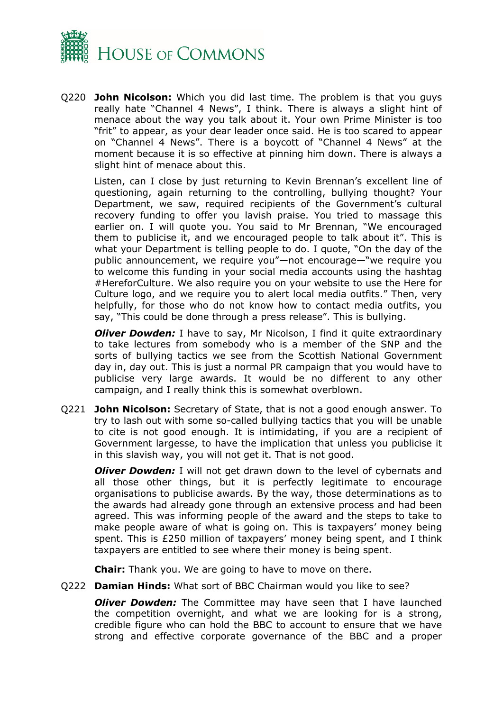

Q220 **John Nicolson:** Which you did last time. The problem is that you guys really hate "Channel 4 News", I think. There is always a slight hint of menace about the way you talk about it. Your own Prime Minister is too "frit" to appear, as your dear leader once said. He is too scared to appear on "Channel 4 News". There is a boycott of "Channel 4 News" at the moment because it is so effective at pinning him down. There is always a slight hint of menace about this.

Listen, can I close by just returning to Kevin Brennan's excellent line of questioning, again returning to the controlling, bullying thought? Your Department, we saw, required recipients of the Government's cultural recovery funding to offer you lavish praise. You tried to massage this earlier on. I will quote you. You said to Mr Brennan, "We encouraged them to publicise it, and we encouraged people to talk about it". This is what your Department is telling people to do. I quote, "On the day of the public announcement, we require you"—not encourage—"we require you to welcome this funding in your social media accounts using the hashtag #HereforCulture. We also require you on your website to use the Here for Culture logo, and we require you to alert local media outfits." Then, very helpfully, for those who do not know how to contact media outfits, you say, "This could be done through a press release". This is bullying.

*Oliver Dowden:* I have to say, Mr Nicolson, I find it quite extraordinary to take lectures from somebody who is a member of the SNP and the sorts of bullying tactics we see from the Scottish National Government day in, day out. This is just a normal PR campaign that you would have to publicise very large awards. It would be no different to any other campaign, and I really think this is somewhat overblown.

Q221 **John Nicolson:** Secretary of State, that is not a good enough answer. To try to lash out with some so-called bullying tactics that you will be unable to cite is not good enough. It is intimidating, if you are a recipient of Government largesse, to have the implication that unless you publicise it in this slavish way, you will not get it. That is not good.

*Oliver Dowden:* I will not get drawn down to the level of cybernats and all those other things, but it is perfectly legitimate to encourage organisations to publicise awards. By the way, those determinations as to the awards had already gone through an extensive process and had been agreed. This was informing people of the award and the steps to take to make people aware of what is going on. This is taxpayers' money being spent. This is £250 million of taxpayers' money being spent, and I think taxpayers are entitled to see where their money is being spent.

**Chair:** Thank you. We are going to have to move on there.

Q222 **Damian Hinds:** What sort of BBC Chairman would you like to see?

*Oliver Dowden:* The Committee may have seen that I have launched the competition overnight, and what we are looking for is a strong, credible figure who can hold the BBC to account to ensure that we have strong and effective corporate governance of the BBC and a proper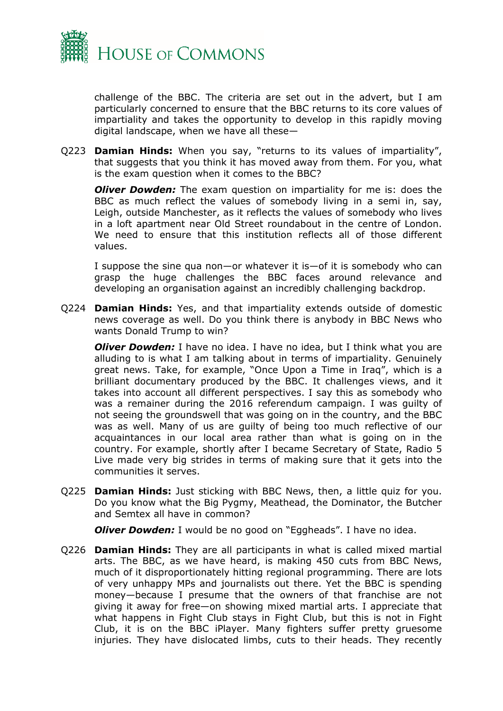

challenge of the BBC. The criteria are set out in the advert, but I am particularly concerned to ensure that the BBC returns to its core values of impartiality and takes the opportunity to develop in this rapidly moving digital landscape, when we have all these—

Q223 **Damian Hinds:** When you say, "returns to its values of impartiality", that suggests that you think it has moved away from them. For you, what is the exam question when it comes to the BBC?

*Oliver Dowden:* The exam question on impartiality for me is: does the BBC as much reflect the values of somebody living in a semi in, say, Leigh, outside Manchester, as it reflects the values of somebody who lives in a loft apartment near Old Street roundabout in the centre of London. We need to ensure that this institution reflects all of those different values.

I suppose the sine qua non—or whatever it is—of it is somebody who can grasp the huge challenges the BBC faces around relevance and developing an organisation against an incredibly challenging backdrop.

Q224 **Damian Hinds:** Yes, and that impartiality extends outside of domestic news coverage as well. Do you think there is anybody in BBC News who wants Donald Trump to win?

*Oliver Dowden:* I have no idea. I have no idea, but I think what you are alluding to is what I am talking about in terms of impartiality. Genuinely great news. Take, for example, "Once Upon a Time in Iraq", which is a brilliant documentary produced by the BBC. It challenges views, and it takes into account all different perspectives. I say this as somebody who was a remainer during the 2016 referendum campaign. I was guilty of not seeing the groundswell that was going on in the country, and the BBC was as well. Many of us are guilty of being too much reflective of our acquaintances in our local area rather than what is going on in the country. For example, shortly after I became Secretary of State, Radio 5 Live made very big strides in terms of making sure that it gets into the communities it serves.

Q225 **Damian Hinds:** Just sticking with BBC News, then, a little quiz for you. Do you know what the Big Pygmy, Meathead, the Dominator, the Butcher and Semtex all have in common?

*Oliver Dowden:* I would be no good on "Eggheads". I have no idea.

Q226 **Damian Hinds:** They are all participants in what is called mixed martial arts. The BBC, as we have heard, is making 450 cuts from BBC News, much of it disproportionately hitting regional programming. There are lots of very unhappy MPs and journalists out there. Yet the BBC is spending money—because I presume that the owners of that franchise are not giving it away for free—on showing mixed martial arts. I appreciate that what happens in Fight Club stays in Fight Club, but this is not in Fight Club, it is on the BBC iPlayer. Many fighters suffer pretty gruesome injuries. They have dislocated limbs, cuts to their heads. They recently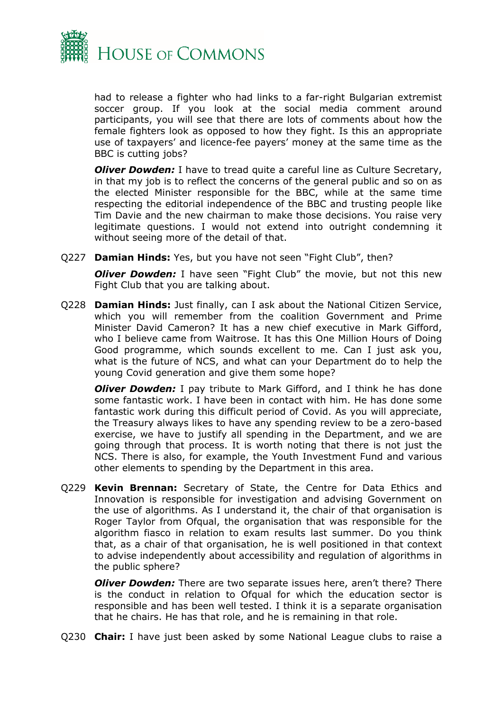

had to release a fighter who had links to a far-right Bulgarian extremist soccer group. If you look at the social media comment around participants, you will see that there are lots of comments about how the female fighters look as opposed to how they fight. Is this an appropriate use of taxpayers' and licence-fee payers' money at the same time as the BBC is cutting jobs?

*Oliver Dowden:* I have to tread quite a careful line as Culture Secretary, in that my job is to reflect the concerns of the general public and so on as the elected Minister responsible for the BBC, while at the same time respecting the editorial independence of the BBC and trusting people like Tim Davie and the new chairman to make those decisions. You raise very legitimate questions. I would not extend into outright condemning it without seeing more of the detail of that.

Q227 **Damian Hinds:** Yes, but you have not seen "Fight Club", then?

*Oliver Dowden:* I have seen "Fight Club" the movie, but not this new Fight Club that you are talking about.

Q228 **Damian Hinds:** Just finally, can I ask about the National Citizen Service, which you will remember from the coalition Government and Prime Minister David Cameron? It has a new chief executive in Mark Gifford, who I believe came from Waitrose. It has this One Million Hours of Doing Good programme, which sounds excellent to me. Can I just ask you, what is the future of NCS, and what can your Department do to help the young Covid generation and give them some hope?

*Oliver Dowden:* I pay tribute to Mark Gifford, and I think he has done some fantastic work. I have been in contact with him. He has done some fantastic work during this difficult period of Covid. As you will appreciate, the Treasury always likes to have any spending review to be a zero-based exercise, we have to justify all spending in the Department, and we are going through that process. It is worth noting that there is not just the NCS. There is also, for example, the Youth Investment Fund and various other elements to spending by the Department in this area.

Q229 **Kevin Brennan:** Secretary of State, the Centre for Data Ethics and Innovation is responsible for investigation and advising Government on the use of algorithms. As I understand it, the chair of that organisation is Roger Taylor from Ofqual, the organisation that was responsible for the algorithm fiasco in relation to exam results last summer. Do you think that, as a chair of that organisation, he is well positioned in that context to advise independently about accessibility and regulation of algorithms in the public sphere?

*Oliver Dowden:* There are two separate issues here, aren't there? There is the conduct in relation to Ofqual for which the education sector is responsible and has been well tested. I think it is a separate organisation that he chairs. He has that role, and he is remaining in that role.

Q230 **Chair:** I have just been asked by some National League clubs to raise a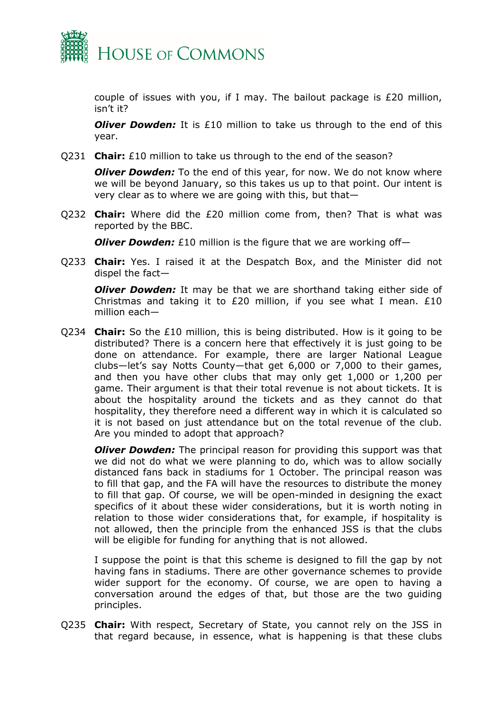

couple of issues with you, if I may. The bailout package is £20 million, isn't it?

*Oliver Dowden:* It is £10 million to take us through to the end of this year.

Q231 **Chair:** £10 million to take us through to the end of the season?

*Oliver Dowden:* To the end of this year, for now. We do not know where we will be beyond January, so this takes us up to that point. Our intent is very clear as to where we are going with this, but that—

Q232 **Chair:** Where did the £20 million come from, then? That is what was reported by the BBC.

*Oliver Dowden:* £10 million is the figure that we are working off-

Q233 **Chair:** Yes. I raised it at the Despatch Box, and the Minister did not dispel the fact—

*Oliver Dowden:* It may be that we are shorthand taking either side of Christmas and taking it to £20 million, if you see what I mean.  $£10$ million each—

Q234 **Chair:** So the £10 million, this is being distributed. How is it going to be distributed? There is a concern here that effectively it is just going to be done on attendance. For example, there are larger National League clubs—let's say Notts County—that get 6,000 or 7,000 to their games, and then you have other clubs that may only get 1,000 or 1,200 per game. Their argument is that their total revenue is not about tickets. It is about the hospitality around the tickets and as they cannot do that hospitality, they therefore need a different way in which it is calculated so it is not based on just attendance but on the total revenue of the club. Are you minded to adopt that approach?

*Oliver Dowden:* The principal reason for providing this support was that we did not do what we were planning to do, which was to allow socially distanced fans back in stadiums for 1 October. The principal reason was to fill that gap, and the FA will have the resources to distribute the money to fill that gap. Of course, we will be open-minded in designing the exact specifics of it about these wider considerations, but it is worth noting in relation to those wider considerations that, for example, if hospitality is not allowed, then the principle from the enhanced JSS is that the clubs will be eligible for funding for anything that is not allowed.

I suppose the point is that this scheme is designed to fill the gap by not having fans in stadiums. There are other governance schemes to provide wider support for the economy. Of course, we are open to having a conversation around the edges of that, but those are the two guiding principles.

Q235 **Chair:** With respect, Secretary of State, you cannot rely on the JSS in that regard because, in essence, what is happening is that these clubs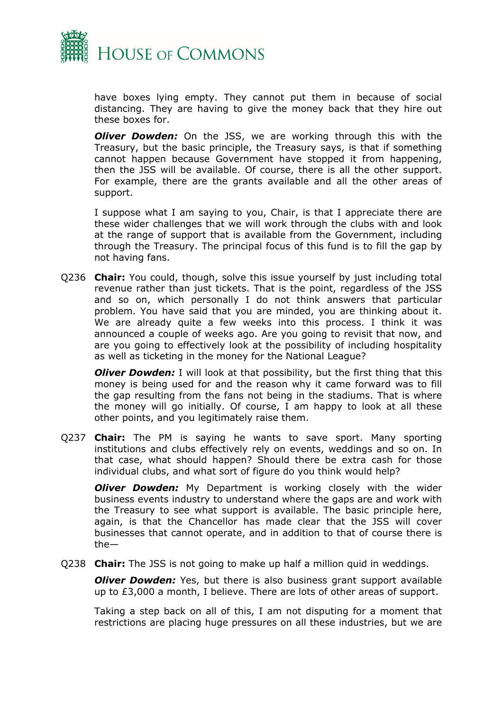

have boxes lying empty. They cannot put them in because of social distancing. They are having to give the money back that they hire out these boxes for.

*Oliver Dowden:* On the JSS, we are working through this with the Treasury, but the basic principle, the Treasury says, is that if something cannot happen because Government have stopped it from happening, then the JSS will be available. Of course, there is all the other support. For example, there are the grants available and all the other areas of support.

I suppose what I am saying to you, Chair, is that I appreciate there are these wider challenges that we will work through the clubs with and look at the range of support that is available from the Government, including through the Treasury. The principal focus of this fund is to fill the gap by not having fans.

Q236 **Chair:** You could, though, solve this issue yourself by just including total revenue rather than just tickets. That is the point, regardless of the JSS and so on, which personally I do not think answers that particular problem. You have said that you are minded, you are thinking about it. We are already quite a few weeks into this process. I think it was announced a couple of weeks ago. Are you going to revisit that now, and are you going to effectively look at the possibility of including hospitality as well as ticketing in the money for the National League?

*Oliver Dowden:* I will look at that possibility, but the first thing that this money is being used for and the reason why it came forward was to fill the gap resulting from the fans not being in the stadiums. That is where the money will go initially. Of course, I am happy to look at all these other points, and you legitimately raise them.

Q237 **Chair:** The PM is saying he wants to save sport. Many sporting institutions and clubs effectively rely on events, weddings and so on. In that case, what should happen? Should there be extra cash for those individual clubs, and what sort of figure do you think would help?

*Oliver Dowden:* My Department is working closely with the wider business events industry to understand where the gaps are and work with the Treasury to see what support is available. The basic principle here, again, is that the Chancellor has made clear that the JSS will cover businesses that cannot operate, and in addition to that of course there is the—

Q238 **Chair:** The JSS is not going to make up half a million quid in weddings.

*Oliver Dowden:* Yes, but there is also business grant support available up to £3,000 a month, I believe. There are lots of other areas of support.

Taking a step back on all of this, I am not disputing for a moment that restrictions are placing huge pressures on all these industries, but we are